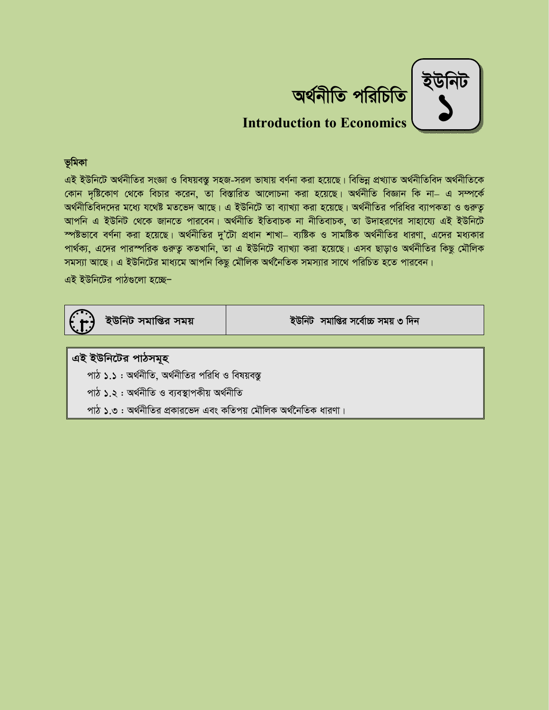

 $\alpha$ <sup>2</sup> *c*wing *c* **c**  $\alpha$  *c*  $\alpha$  *c*  $\alpha$  *c*  $\alpha$  *c*  $\alpha$  *c*  $\alpha$  *c*  $\alpha$  *c*  $\alpha$  *c*  $\alpha$  *c*  $\alpha$  *c*  $\alpha$  *c*  $\alpha$  *c*  $\alpha$  *c*  $\alpha$  *c*  $\alpha$  *c*  $\alpha$  *<i>c*  $\alpha$  *c*  $\alpha$  *<i>c*  $\alpha$  *c*  $\alpha$  *<i>c*  $\alpha$  *c*  $\alpha$  *<i>c*  $\alpha$ **Introduction to Economics**

# *f'wgKv*

এই ইউনিটে অৰ্থনীতির সংজ্ঞা ও বিষয়বস্তু সহজ-সরল ভাষায় বর্ণনা করা হয়েছে। বিভিন্ন প্রখ্যাত অর্থনীতিবিদ অর্থনীতিকে *(*কান দষ্টিকোণ থেকে বিচার করেন, তা বিস্তারিত আলোচনা করা হয়েছে। অর্থনীতি বিজ্ঞান কি না– এ সম্পর্কে অর্থনীতিবিদদের মধ্যে যথেষ্ট মতভেদ আছে। এ ইউনিটে তা ব্যাখ্যা করা হয়েছে। অর্থনীতির পরিধির ব্যাপকতা ও গুরুতূ আপনি এ ইউনিট থেকে জানতে পারবেন। অর্থনীতি ইতিবাচক না নীতিবাচক, তা উদাহরণের সাহায্যে এই ইউনিটে স্পষ্টভাবে বর্ণনা করা হয়েছে। অর্থনীতির দু'টো প্রধান শাখা– ব্যষ্টিক ও সামষ্টিক অর্থনীতির ধারণা, এদের মধ্যকার পার্থক্য, এদের পারস্পরিক গুরুতু কতখানি, তা এ ইউনিটে ব্যাখ্যা করা হয়েছে। এসব ছাড়াও অর্থনীতির কিছু মৌলিক সমস্যা আছে। এ ইউনিটের মাধ্যমে আপনি কিছু মৌলিক অর্থনৈতিক সমস্যার সাথে পরিচিত হতে পারবেন।

এই ইউনিটের পাঠগুলো হচ্ছে<sup>\_</sup>



*BDwbU mgvwßi mgq BDwbU mgvwßi m‡e©v"P mgq 3 w`b*

### এই ইউনিটের পাঠসমূহ

*পাঠ ১.১ :* অর্থনীতি, অর্থনীতির পরিধি ও বিষয়বস্ত

*পাঠ ১.২ :* অৰ্থনীতি ও ব্যবস্থাপকীয় অৰ্থনীতি

*পাঠ ১.*৩ : অর্থনীতির প্রকারভেদ এবং কতিপয় মৌলিক অর্থনৈতিক ধারণা।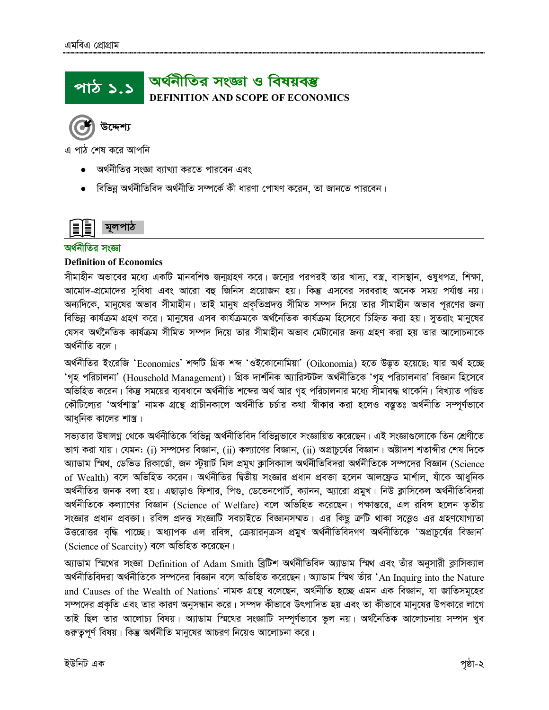### অর্থনীতির সংজ্ঞা ও বিষয়বম্ভ <u>পাঠ ১.১</u> **DEFINITION AND SCOPE OF ECONOMICS**

উদ্দেশ্য

এ পাঠ শেষ করে আপনি

- অর্থনীতির সংজ্ঞা ব্যাখ্যা করতে পারবেন এবং
- বিভিন্ন অৰ্থনীতিবিদ অৰ্থনীতি সম্পৰ্কে কী ধারণা পোষণ করেন, তা জানতে পারবেন।



### অর্থনীতির সংজ্ঞা

### **Definition of Economics**

সীমাহীন অভাবের মধ্যে একটি মানবশিশু জন্মগ্রহণ করে। জন্মের পরপরই তার খাদ্য, বস্ত্র, বাসস্থান, ওষুধপত্র, শিক্ষা, আমোদ-প্রমোদের সুবিধা এবং আরো বহু জিনিস প্রয়োজন হয়। কিন্তু এসবের সরবরাহ অনেক সময় পর্যাপ্ত নয়। অন্যদিকে, মানুষের অভাব সীমাহীন। তাই মানুষ প্রকৃতিপ্রদত্ত সীমিত সম্পদ দিয়ে তার সীমাহীন অভাব পূরণের জন্য বিভিন্ন কার্যক্রম গ্রহণ করে। মানুষের এসব কার্যক্রমকে অর্থনৈতিক কার্যক্রম হিসেবে চিহ্নিত করা হয়। সুতরাং মানুষের যেসব অর্থনৈতিক কার্যক্রম সীমিত সম্পদ দিয়ে তার সীমাহীন অভাব মেটানোর জন্য গ্রহণ করা হয় তার আলোচনাকে অৰ্থনীতি বলে।

অর্থনীতির ইংরেজি 'Economics' শব্দটি গ্রিক শব্দ 'ওইকোনোমিয়া' (Oikonomia) হতে উদ্ভূত হয়েছে; যার অর্থ হচ্ছে 'গৃহ পরিচালনা' (Household Management)। গ্রিক দার্শনিক অ্যারিস্টটল অর্থনীতিকে 'গৃহ পরিচালনার' বিজ্ঞান হিসেবে অভিহিত করেন। কিন্তু সময়ের ব্যবধানে অর্থনীতি শব্দের অর্থ আর গৃহ পরিচালনার মধ্যে সীমাবদ্ধ থাকেনি। বিখ্যাত পণ্ডিত কৌটিল্যের 'অর্থশাস্ত্র' নামক গ্রন্থে প্রাচীনকালে অর্থনীতি চর্চার কথা স্বীকার করা হলেও বস্তুতঃ অর্থনীতি সম্পূর্ণভাবে আধুনিক কালের শাস্ত্র।

সভ্যতার উষালগ্ন থেকে অর্থনীতিকে বিভিন্ন অর্থনীতিবিদ বিভিন্নভাবে সংজ্ঞায়িত করেছেন। এই সংজ্ঞাগুলোকে তিন শ্রেণীতে ভাগ করা যায়। যেমন: (i) সম্পদের বিজ্ঞান, (ii) কল্যাণের বিজ্ঞান, (ii) অপ্রাচুর্যের বিজ্ঞান। অষ্টাদশ শতাব্দীর শেষ দিকে অ্যাডাম স্মিথ, ডেভিড রিকার্ডো, জন স্টুয়ার্ট মিল প্রমুখ ক্লাসিক্যাল অর্থনীতিবিদরা অর্থনীতিকে সম্পদের বিজ্ঞান (Science of Wealth) বলে অভিহিত করেন। অর্থনীতির দ্বিতীয় সংজ্ঞার প্রধান প্রবক্তা হলেন আলফ্রেড মার্শাল, যাঁকে আধুনিক অর্থনীতির জনক বলা হয়। এছাড়াও ফিশার, পিণ্ড, ডেভেনপোর্ট, ক্যানন, অ্যারো প্রমুখ। নিউ ক্লাসিকেল অর্থনীতিবিদরা অর্থনীতিকে কল্যাণের বিজ্ঞান (Science of Welfare) বলে অভিহিত করেছেন। পক্ষান্তরে, এল রবিন্স হলেন তৃতীয় সংজ্ঞার প্রধান প্রবক্তা। রবিন্স প্রদত্ত সংজ্ঞাটি সবচাইতে বিজ্ঞানসম্মত। এর কিছু ক্রটি থাকা সত্তেও এর গ্রহণযোগ্যতা উত্তরোত্তর বৃদ্ধি পাচ্ছে। অধ্যাপক এল রবিন্স, ক্রেয়ারনক্রস প্রমুখ অর্থনীতিবিদগণ অর্থনীতিকে 'অপ্রাচুর্যের বিজ্ঞান' (Science of Scarcity) বলে অভিহিত করেছেন।

অ্যাডাম স্মিথের সংজ্ঞা Definition of Adam Smith ব্রিটিশ অর্থনীতিবিদ অ্যাডাম স্মিথ এবং তাঁর অনুসারী ক্লাসিক্যাল অর্থনীতিবিদরা অর্থনীতিকে সম্পদের বিজ্ঞান বলে অভিহিত করেছেন। অ্যাডাম স্মিথ তাঁর 'An Inquirg into the Nature and Causes of the Wealth of Nations' নামক গ্রন্থে বলেছেন, অর্থনীতি হচ্ছে এমন এক বিজ্ঞান, যা জাতিসমূহের সম্পদের প্রকৃতি এবং তার কারণ অনুসন্ধান করে। সম্পদ কীভাবে উৎপাদিত হয় এবং তা কীভাবে মানুষের উপকারে লাগে তাই ছিল তার আলোচ্য বিষয়। অ্যাডাম স্মিথের সংজ্ঞাটি সম্পূর্ণভাবে ভুল নয়। অর্থনৈতিক আলোচনায় সম্পদ খুব গুরুতুপূর্ণ বিষয়। কিন্তু অর্থনীতি মানুষের আচরণ নিয়েও আলোচনা করে।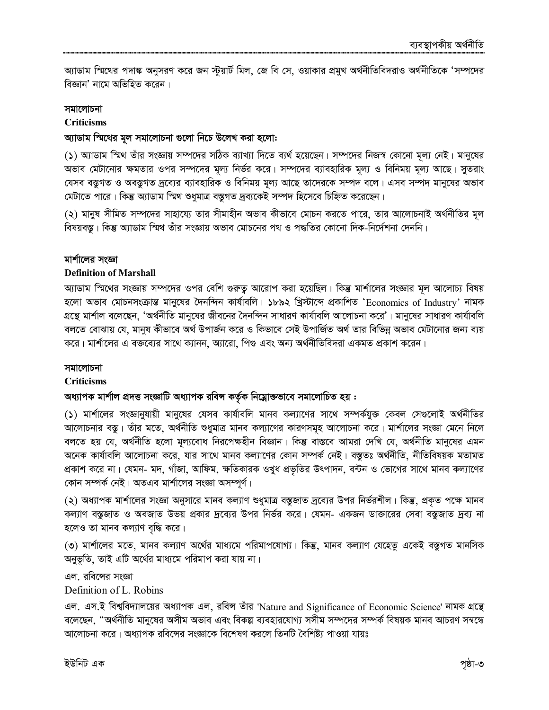অ্যাডাম স্মিথের পদাঙ্ক অনুসরণ করে জন স্টুয়ার্ট মিল, জে বি সে, ওয়াকার প্রমুখ অর্থনীতিবিদরাও অর্থনীতিকে 'সম্পদের বিজ্ঞান' নামে অভিহিত করেন।

### সমালোচনা

### **Criticisms**

### অ্যাডাম স্মিথের মূল সমালোচনা গুলো নিচে উলেখ করা হলো:

(১) অ্যাডাম স্মিথ তাঁর সংজ্ঞায় সম্পদের সঠিক ব্যাখ্যা দিতে ব্যর্থ হয়েছেন। সম্পদের নিজস্ব কোনো মূল্য নেই। মানুষের অভাব মেটানোর ক্ষমতার ওপর সম্পদের মূল্য নির্ভর করে। সম্পদের ব্যাবহারিক মূল্য ও বিনিময় মূল্য আছে। সুতরাং যেসব বস্তুগত ও অবস্তুগত দ্রব্যের ব্যাবহারিক ও বিনিময় মূল্য আছে তাদেরকে সম্পদ বলে। এসব সম্পদ মানুষের অভাব মেটাতে পারে। কিন্তু অ্যাডাম স্মিথ শুধুমাত্র বস্তুগত দ্রব্যকেই সম্পদ হিসেবে চিহ্নিত করেছেন।

(২) মানুষ সীমিত সম্পদের সাহায্যে তার সীমাহীন অভাব কীভাবে মোচন করতে পারে, তার আলোচনাই অর্থনীতির মূল বিষয়বস্তু। কিন্তু অ্যাডাম স্মিথ তাঁর সংজ্ঞায় অভাব মোচনের পথ ও পদ্ধতির কোনো দিক-নির্দেশনা দেননি।

### মার্শালের সংজ্ঞা

### **Definition of Marshall**

অ্যাডাম স্মিথের সংজ্ঞায় সম্পদের ওপর বেশি গুরুত্ব আরোপ করা হয়েছিল। কিন্তু মার্শালের সংজ্ঞার মূল আলোচ্য বিষয় হলো অভাব মোচনসংক্রান্ত মানুষের দৈনন্দিন কার্যাবলি। ১৮৯২ খ্রিস্টাব্দে প্রকাশিত 'Economics of Industry' নামক গ্রন্থে মার্শাল বলেছেন, 'অর্থনীতি মানুষের জীবনের দৈনন্দিন সাধারণ কার্যাবলি আলোচনা করে'। মানুষের সাধারণ কার্যাবলি বলতে বোঝায় যে, মানুষ কীভাবে অর্থ উপার্জন করে ও কিভাবে সেই উপার্জিত অর্থ তার বিভিন্ন অভাব মেটানোর জন্য ব্যয় করে। মার্শালের এ বক্তব্যের সাথে ক্যানন, অ্যারো, পিগু এবং অন্য অর্থনীতিবিদরা একমত প্রকাশ করেন।

### সমালোচনা

### **Criticisms**

# অধ্যাপক মার্শাল প্রদত্ত সংজ্ঞাটি অধ্যাপক রবিন্স কর্তৃক নিম্নোক্তভাবে সমালোচিত হয় :

(১) মার্শালের সংজ্ঞানুযায়ী মানুষের যেসব কার্যাবলি মানব কল্যাণের সাথে সম্পর্কযুক্ত কেবল সেগুলোই অর্থনীতির আলোচনার বস্তু। তাঁর মতে, অর্থনীতি শুধুমাত্র মানব কল্যাণের কারণসমূহ আলোচনা করে। মার্শালের সংজ্ঞা মেনে নিলে বলতে হয় যে, অৰ্থনীতি হলো মূল্যবোধ নিরপেক্ষহীন বিজ্ঞান। কিন্তু বাস্তবে আমরা দেখি যে, অৰ্থনীতি মানুষের এমন অনেক কাৰ্যাবলি আলোচনা করে, যার সাথে মানব কল্যাণের কোন সম্পর্ক নেই। বস্তুতঃ অর্থনীতি, নীতিবিষয়ক মতামত প্রকাশ করে না। যেমন- মদ, গাঁজা, আফিম, ক্ষতিকারক ওখুধ প্রভৃতির উৎপাদন, বন্টন ও ভোগের সাথে মানব কল্যাণের কোন সম্পর্ক নেই। অতএব মার্শালের সংজ্ঞা অসম্পূর্ণ।

(২) অধ্যাপক মার্শালের সংজ্ঞা অনুসারে মানব কল্যাণ শুধুমাত্র বস্তুজাত দ্রব্যের উপর নির্ভরশীল। কিন্তু, প্রকৃত পক্ষে মানব কল্যাণ বস্তুজাত ও অবজাত উভয় প্রকার দ্রব্যের উপর নির্ভর করে। যেমন- একজন ডাক্তারের সেবা বস্তুজাত দ্রব্য না হলেও তা মানব কল্যাণ বৃদ্ধি করে।

(৩) মার্শালের মতে, মানব কল্যাণ অর্থের মাধ্যমে পরিমাপযোগ্য। কিন্তু, মানব কল্যাণ যেহেতু একেই বস্তুগত মানসিক অনুভূতি, তাই এটি অর্থের মাধ্যমে পরিমাপ করা যায় না।

এল. রবিঙ্গের সংজ্ঞা

### Definition of L. Robins

এল. এস.ই বিশ্ববিদ্যালয়ের অধ্যাপক এল, রবিন্স তাঁর 'Nature and Significance of Economic Science' নামক গ্রন্থে বলেছেন, "অর্থনীতি মানুষের অসীম অভাব এবং বিকল্প ব্যবহারযোগ্য সসীম সম্পদের সম্পর্ক বিষয়ক মানব আচরণ সম্বন্ধে আলোচনা করে। অধ্যাপক রবিন্সের সংজ্ঞাকে বিশেষণ করলে তিনটি বৈশিষ্ট্য পাওয়া যায়ঃ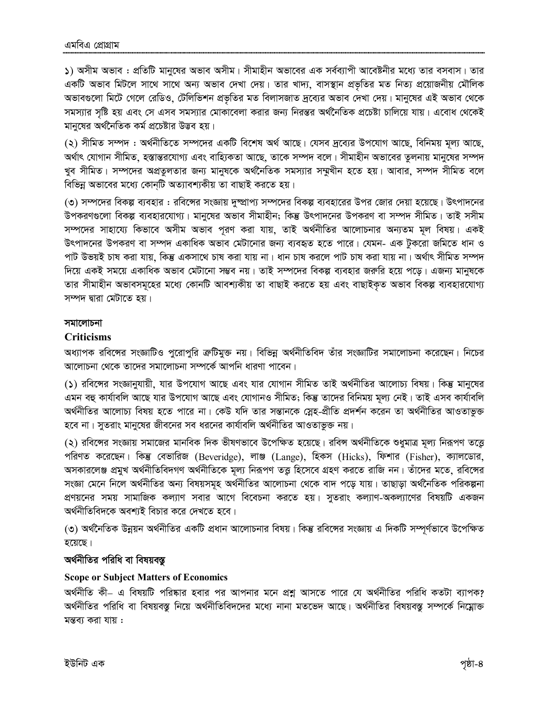১) অসীম অভাব : প্রতিটি মানুষের অভাব অসীম। সীমাহীন অভাবের এক সর্বব্যাপী আবেষ্টনীর মধ্যে তার বসবাস। তার একটি অভাব মিটলে সাথে সাথে অন্য অভাব দেখা দেয়। তার খাদ্য, বাসস্থান প্রভৃতির মত নিত্য প্রয়োজনীয় মৌলিক অভাবগুলো মিটে গেলে রেডিও, টেলিভিশন প্রভৃতির মত বিলাসজাত দ্রব্যের অভাব দেখা দেয়। মানুষের এই অভাব থেকে সমস্যার সৃষ্টি হয় এবং সে এসব সমস্যার মোকাবেলা করার জন্য নিরন্তর অর্থনৈতিক প্রচেষ্টা চালিয়ে যায়। এবোধ থেকেই মানুষের অর্থনৈতিক কর্ম প্রচেষ্টার উদ্ভব হয়।

(২) সীমিত সম্পদ : অর্থনীতিতে সম্পদের একটি বিশেষ অর্থ আছে। যেসব দ্রব্যের উপযোগ আছে, বিনিময় মূল্য আছে, অর্থাৎ যোগান সীমিত, হস্তান্তরযোগ্য এবং বাহ্যিকতা আছে, তাকে সম্পদ বলে। সীমাহীন অভাবের তুলনায় মানুষের সম্পদ খুব সীমিত। সম্পদের অপ্রতুলতার জন্য মানুষকে অর্থনৈতিক সমস্যার সম্মুখীন হতে হয়। আবার, সম্পদ সীমিত বলে বিভিন্ন অভাবের মধ্যে কোনটি অত্যাবশ্যকীয় তা বাছাই করতে হয়।

(৩) সম্পদের বিকল্প ব্যবহার : রবিন্সের সংজ্ঞায় দুষ্প্রাপ্য সম্পদের বিকল্প ব্যবহারের উপর জোর দেয়া হয়েছে। উৎপাদনের উপকরণগুলো বিকল্প ব্যবহারযোগ্য। মানুষের অভাব সীমাহীন; কিন্তু উৎপাদনের উপকরণ বা সম্পদ সীমিত। তাই সসীম সম্পদের সাহায্যে কিভাবে অসীম অভাব পূরণ করা যায়, তাই অর্থনীতির আলোচনার অন্যতম মূল বিষয়। একই উৎপাদনের উপকরণ বা সম্পদ একাধিক অভাব মেটানোর জন্য ব্যবহৃত হতে পারে। যেমন- এক টুকরো জমিতে ধান ও পাট উভয়ই চাষ করা যায়, কিন্তু একসাথে চাষ করা যায় না। ধান চাষ করলে পাট চাষ করা যায় না। অর্থাৎ সীমিত সম্পদ দিয়ে একই সময়ে একাধিক অভাব মেটানো সম্ভব নয়। তাই সম্পদের বিকল্প ব্যবহার জরুরি হয়ে পড়ে। এজন্য মানুষকে তার সীমাহীন অভাবসমূহের মধ্যে কোনটি আবশ্যকীয় তা বাছাই করতে হয় এবং বাছাইকৃত অভাব বিকল্প ব্যবহারযোগ্য সম্পদ দ্বারা মেটাতে হয়।

### সমালোচনা

### **Criticisms**

অধ্যাপক রবিঙ্গের সংজ্ঞাটিও পুরোপুরি ক্রেটিমুক্ত নয়। বিভিন্ন অর্থনীতিবিদ তাঁর সংজ্ঞাটির সমালোচনা করেছেন। নিচের আলোচনা থেকে তাদের সমালোচনা সম্পর্কে আপনি ধারণা পাবেন।

(১) রবিঙ্গের সংজ্ঞানুযায়ী, যার উপযোগ আছে এবং যার যোগান সীমিত তাই অর্থনীতির আলোচ্য বিষয়। কিন্তু মানুষের এমন বহু কাৰ্যাবলি আছে যার উপযোগ আছে এবং যোগানও সীমিত; কিন্তু তাদের বিনিময় মূল্য নেই। তাই এসব কাৰ্যাবলি অর্থনীতির আলোচ্য বিষয় হতে পারে না। কেউ যদি তার সন্তানকে স্লেহ-প্রীতি প্রদর্শন করেন তা অর্থনীতির আওতাভুক্ত হবে না। সূতরাং মানুষের জীবনের সব ধরনের কার্যাবলি অর্থনীতির আওতাভুক্ত নয়।

(২) রবিঙ্গের সংজ্ঞায় সমাজের মানবিক দিক ভীষণভাবে উপেক্ষিত হয়েছে। রবিন্স অর্থনীতিকে শুধুমাত্র মূল্য নিরূপণ তত্তে পরিণত করেছেন। কিন্তু বেভারিজ (Beveridge), লাঞ্জ (Lange), হিকস (Hicks), ফিশার (Fisher), ক্যালডোর, অসকারলেঞ্জ প্রমুখ অর্থনীতিবিদগণ অর্থনীতিকে মূল্য নিরূপণ তত্ত হিসেবে গ্রহণ করতে রাজি নন। তাঁদের মতে, রবিঙ্গের সংজ্ঞা মেনে নিলে অর্থনীতির অন্য বিষয়সমূহ অর্থনীতির আলোচনা থেকে বাদ পড়ে যায়। তাছাড়া অর্থনৈতিক পরিকল্পনা প্রণয়নের সময় সামাজিক কল্যাণ সবার আগে বিবেচনা করতে হয়। সুতরাং কল্যাণ-অকল্যাণের বিষয়টি একজন অর্থনীতিবিদকে অবশ্যই বিচার করে দেখতে হবে।

(৩) অর্থনৈতিক উন্নয়ন অর্থনীতির একটি প্রধান আলোচনার বিষয়। কিন্তু রবিঙ্গের সংজ্ঞায় এ দিকটি সম্পূর্ণভাবে উপেক্ষিত হয়েছে।

# অর্থনীতির পরিধি বা বিষয়বস্তু

# **Scope or Subject Matters of Economics**

অর্থনীতি কী– এ বিষয়টি পরিষ্কার হবার পর আপনার মনে প্রশ্নু আসতে পারে যে অর্থনীতির পরিধি কতটা ব্যাপক? অর্থনীতির পরিধি বা বিষয়বস্তু নিয়ে অর্থনীতিবিদদের মধ্যে নানা মতভেদ আছে। অর্থনীতির বিষয়বস্তু সম্পর্কে নিম্নোক্ত মন্তব্য করা যায়: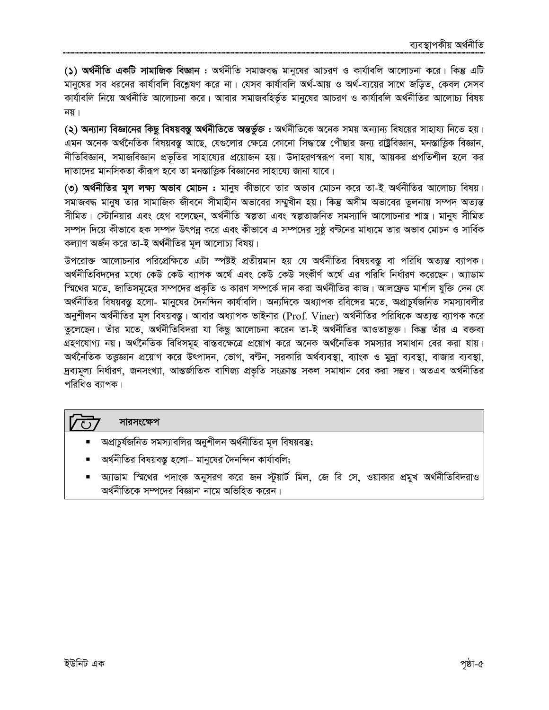(১) অর্থনীতি একটি সামাজিক বিজ্ঞান : অর্থনীতি সমাজবদ্ধ মানুষের আচরণ ও কার্যাবলি আলোচনা করে। কিন্তু এটি মানুষের সব ধরনের কার্যাবলি বিশ্লেষণ করে না। যেসব কার্যাবলি অর্থ-আয় ও অর্থ-ব্যয়ের সাথে জড়িত, কেবল সেসব কাৰ্যাবলি নিয়ে অৰ্থনীতি আলোচনা করে। আবার সমাজবহির্ভূত মানুষের আচরণ ও কার্যাবলি অর্থনীতির আলোচ্য বিষয় নয $\overline{1}$ ।

(২) অন্যান্য বিজ্ঞানের কিছু বিষয়বস্তু অর্থনীতিতে অন্তর্ভুক্ত : অর্থনীতিকে অনেক সময় অন্যান্য বিষয়ের সাহায্য নিতে হয়। এমন অনেক অর্থনৈতিক বিষয়বস্তু আছে, যেগুলোর ক্ষেত্রে কোনো সিদ্ধান্তে পৌছার জন্য রাষ্ট্রবিজ্ঞান, মনস্তাত্ত্বিক বিজ্ঞান, নীতিবিজ্ঞান, সমাজবিজ্ঞান প্রভৃতির সাহায্যের প্রয়োজন হয়। উদাহরণস্বরূপ বলা যায়, আয়কর প্রগতিশীল হলে কর দাতাদের মানসিকতা কীরূপ হবে তা মনস্তাত্তিক বিজ্ঞানের সাহায্যে জানা যাবে।

(৩) অর্থনীতির মূল লক্ষ্য অভাব মোচন : মানুষ কীভাবে তার অভাব মোচন করে তা-ই অর্থনীতির আলোচ্য বিষয়। সমাজবদ্ধ মানুষ তার সামাজিক জীবনে সীমাহীন অভাবের সম্মুখীন হয়। কিন্তু অসীম অভাবের তুলনায় সম্পদ অত্যন্ত সীমিত। স্টোনিয়ার এবং হেগ বলেছেন, অর্থনীতি স্বল্পতা এবং স্বল্পতাজনিত সমস্যাদি আলোচনার শাস্ত্র। মানুষ সীমিত সম্পদ দিয়ে কীভাবে হক সম্পদ উৎপন্ন করে এবং কীভাবে এ সম্পদের সুষ্ঠু বণ্টনের মাধ্যমে তার অভাব মোচন ও সার্বিক কল্যাণ অৰ্জন করে তা-ই অর্থনীতির মূল আলোচ্য বিষয়।

উপরোক্ত আলোচনার পরিপ্রেক্ষিতে এটা স্পষ্টই প্রতীয়মান হয় যে অর্থনীতির বিষয়বস্তু বা পরিধি অত্যন্ত ব্যাপক। অর্থনীতিবিদদের মধ্যে কেউ কেউ ব্যাপক অর্থে এবং কেউ কেউ সংকীর্ণ অর্থে এর পরিধি নির্ধারণ করেছেন। অ্যাডাম স্মিথের মতে, জাতিসমূহের সম্পদের প্রকৃতি ও কারণ সম্পর্কে দান করা অর্থনীতির কাজ। আলফ্রেড মার্শাল যুক্তি দেন যে অর্থনীতির বিষয়বস্তু হলো- মানুষের দৈনন্দিন কার্যাবলি। অন্যদিকে অধ্যাপক রবিঙ্গের মতে, অপ্রাচুর্যজনিত সমস্যাবলীর অনুশীলন অর্থনীতির মূল বিষয়বস্তু। আবার অধ্যাপক ভাইনার (Prof. Viner) অর্থনীতির পরিধিকে অত্যন্ত ব্যাপক করে তুলেছেন। তাঁর মতে, অর্থনীতিবিদরা যা কিছু আলোচনা করেন তা-ই অর্থনীতির আওতাভুক্ত। কিন্তু তাঁর এ বক্তব্য গ্রহণযোগ্য নয়। অর্থনৈতিক বিধিসমূহ বাস্তবক্ষেত্রে প্রয়োগ করে অনেক অর্থনৈতিক সমস্যার সমাধান বের করা যায়। অর্থনৈতিক তত্তজ্ঞান প্রয়োগ করে উৎপাদন, ভোগ, বণ্টন, সরকারি অর্থব্যবস্থা, ব্যাংক ও মুদ্রা ব্যবস্থা, বাজার ব্যবস্থা, দ্রব্যমূল্য নির্ধারণ, জনসংখ্যা, আন্তর্জাতিক বাণিজ্য প্রভৃতি সংক্রান্ত সকল সমাধান বের করা সম্ভব। অতএব অর্থনীতির পরিধিও ব্যাপক।

# সারসংক্ষেপ

 $\overline{\zeta}$ 

- অপ্রাচর্যজনিত সমস্যাবলির অনুশীলন অর্থনীতির মূল বিষয়বস্তু;
- অর্থনীতির বিষয়বস্তু হলো− মানুষের দৈনন্দিন কার্যাবলি;
- অ্যাডাম স্মিথের পদাংক অনুসরণ করে জন স্টুয়ার্ট মিল, জে বি সে, ওয়াকার প্রমুখ অর্থনীতিবিদরাও অর্থনীতিকে সম্পদের বিজ্ঞান' নামে অভিহিত করেন।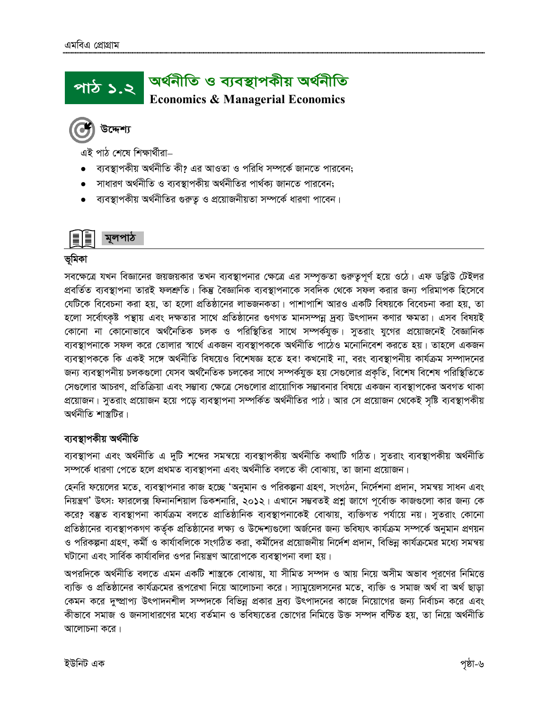### অৰ্থনীতি ও ব্যবস্থাপকীয় অৰ্থনীতি পাঠ ১.২ **Economics & Managerial Economics**

এই পাঠ শেষে শিক্ষাৰ্থীরা–

- ব্যবস্থাপকীয় অর্থনীতি কী? এর আওতা ও পরিধি সম্পর্কে জানতে পারবেন:
- সাধারণ অর্থনীতি ও ব্যবস্থাপকীয় অর্থনীতির পার্থক্য জানতে পারবেন;
- ব্যবস্থাপকীয় অর্থনীতির গুরুতু ও প্রয়োজনীয়তা সম্পর্কে ধারণা পাবেন।



# ভূমিকা

সবক্ষেত্রে যখন বিজ্ঞানের জয়জয়কার তখন ব্যবস্থাপনার ক্ষেত্রে এর সম্পৃক্ততা গুরুতুপূর্ণ হয়ে ওঠে। এফ ডব্লিউ টেইলর প্রবর্তিত ব্যবস্থাপনা তারই ফলশ্রুতি। কিন্তু বৈজ্ঞানিক ব্যবস্থাপনাকে সবদিক থেকে সফল করার জন্য পরিমাপক হিসেবে যেটিকে বিবেচনা করা হয়, তা হলো প্রতিষ্ঠানের লাভজনকতা। পাশাপাশি আরও একটি বিষয়কে বিবেচনা করা হয়, তা হলো সর্বোৎকৃষ্ট পন্থায় এবং দক্ষতার সাথে প্রতিষ্ঠানের গুণগত মানসম্পন্ন দ্রব্য উৎপাদন কণার ক্ষমতা। এসব বিষয়ই কোনো না কোনোভাবে অৰ্থনৈতিক চলক ও পরিস্থিতির সাথে সম্পর্কযুক্ত। সূতরাং যুগের প্রয়োজনেই বৈজ্ঞানিক ব্যবস্থাপনাকে সফল করে তোলার স্বার্থে একজন ব্যবস্থাপককে অর্থনীতি পাঠেও মনোনিবেশ করতে হয়। তাহলে একজন ব্যবস্থাপককে কি একই সঙ্গে অৰ্থনীতি বিষয়েও বিশেষজ্ঞ হতে হব! কখনোই না, বরং ব্যবস্থাপনীয় কাৰ্যক্রম সম্পাদনের জন্য ব্যবস্থাপনীয় চলকগুলো যেসব অর্থনৈতিক চলকের সাথে সম্পর্কযুক্ত হয় সেগুলোর প্রকৃতি, বিশেষ বিশেষ পরিস্থিতিতে সেগুলোর আচরণ, প্রতিক্রিয়া এবং সম্ভাব্য ক্ষেত্রে সেগুলোর প্রায়োগিক সম্ভাবনার বিষয়ে একজন ব্যবস্থাপকের অবগত থাকা প্রয়োজন। সূতরাং প্রয়োজন হয়ে পডে ব্যবস্থাপনা সম্পর্কিত অর্থনীতির পাঠ। আর সে প্রয়োজন থেকেই সষ্টি ব্যবস্থাপকীয অর্থনীতি শাস্তুটির।

# ব্যবস্থাপকীয় অৰ্থনীতি

ব্যবস্থাপনা এবং অর্থনীতি এ দুটি শব্দের সমন্বয়ে ব্যবস্থাপকীয় অর্থনীতি কথাটি গঠিত। সুতরাং ব্যবস্থাপকীয় অর্থনীতি সম্পৰ্কে ধারণা পেতে হলে প্রথমত ব্যবস্থাপনা এবং অর্থনীতি বলতে কী বোঝায়, তা জানা প্রয়োজন।

হেনরি ফয়েলের মতে, ব্যবস্থাপনার কাজ হচ্ছে 'অনুমান ও পরিকল্পনা গ্রহণ, সংগঠন, নির্দেশনা প্রদান, সমন্বয় সাধন এবং নিয়ন্ত্রণ' উৎস: ফারলেক্স ফিনানশিয়াল ডিকশনারি, ২০১২। এখানে সম্ভবতই প্রশ্ন জাগে পূর্বোক্ত কাজগুলো কার জন্য কে করে? বস্তুত ব্যবস্থাপনা কার্যক্রম বলতে প্রাতিষ্ঠানিক ব্যবস্থাপনাকেই বোঝায়, ব্যক্তিগত পর্যায়ে নয়। সুতরাং কোনো প্রতিষ্ঠানের ব্যবস্থাপকগণ কর্তৃক প্রতিষ্ঠানের লক্ষ্য ও উদ্দেশ্যগুলো অর্জনের জন্য ভবিষ্যৎ কার্যক্রম সম্পর্কে অনুমান প্রণয়ন ও পরিকল্পনা গ্রহণ, কর্মী ও কার্যাবলিকে সংগঠিত করা, কর্মীদের প্রয়োজনীয় নির্দেশ প্রদান, বিভিন্ন কার্যক্রমের মধ্যে সমন্বয় ঘটানো এবং সার্বিক কার্যাবলির ওপর নিয়ন্ত্রণ আরোপকে ব্যবস্থাপনা বলা হয়।

অপরদিকে অর্থনীতি বলতে এমন একটি শাস্ত্রকে বোঝায়, যা সীমিত সম্পদ ও আয় নিয়ে অসীম অভাব পূরণের নিমিত্তে ব্যক্তি ও প্রতিষ্ঠানের কার্যক্রমের রূপরেখা নিয়ে আলোচনা করে। স্যামুয়েলসনের মতে, ব্যক্তি ও সমাজ অর্থ বা অর্থ ছাড়া কেমন করে দুষ্প্রাপ্য উৎপাদনশীল সম্পদকে বিভিন্ন প্রকার দ্রব্য উৎপাদনের কাজে নিয়োগের জন্য নির্বাচন করে এবং কীভাবে সমাজ ও জনসাধারণের মধ্যে বর্তমান ও ভবিষ্যতের ভোগের নিমিত্তে উক্ত সম্পদ বন্টিত হয়, তা নিয়ে অর্থনীতি আলোচনা করে।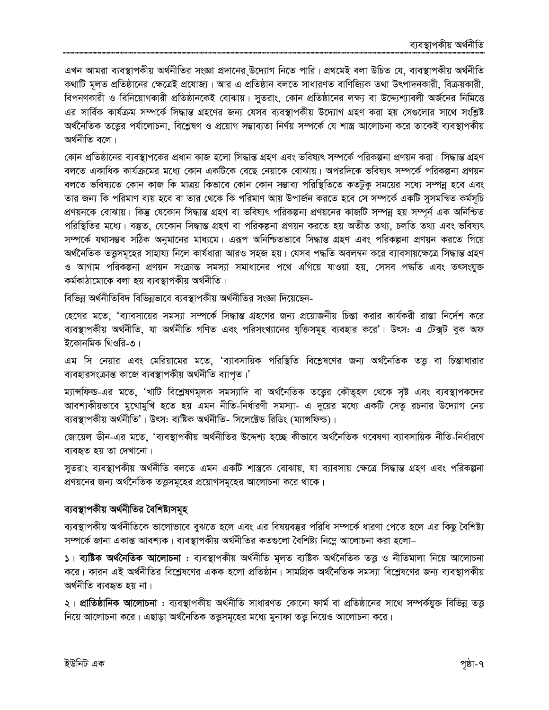এখন আমরা ব্যবস্থাপকীয় অর্থনীতির সংজ্ঞা প্রদানের উদ্যোগ নিতে পারি। প্রথমেই বলা উচিত যে, ব্যবস্থাপকীয় অর্থনীতি কথাটি মূলত প্রতিষ্ঠানের ক্ষেত্রেই প্রযোজ্য। আর এ প্রতিষ্ঠান বলতে সাধারণত বাণিজ্যিক তথা উৎপাদনকারী, বিক্রয়কারী, বিপনণকারী ও বিনিয়োগকারী প্রতিষ্ঠানকেই বোঝায়। সুতরাং, কোন প্রতিষ্ঠানের লক্ষ্য বা উদ্দ্যেশ্যাবলী অর্জনের নিমিত্তে এর সার্বিক কার্যক্রম সম্পর্কে সিদ্ধান্ত গ্রহণের জন্য যেসব ব্যবস্থাপকীয় উদ্যোগ গ্রহণ করা হয় সেগুলোর সাথে সংশ্লিষ্ট অৰ্থনৈতিক তত্তের পৰ্যালোচনা, বিশ্লেষণ ও প্রয়োগ সম্ভাব্যতা নির্ণয় সম্পর্কে যে শাস্ত্র আলোচনা করে তাকেই ব্যবস্থাপকীয় অৰ্থনীতি বলে।

কোন প্রতিষ্ঠানের ব্যবস্থাপকের প্রধান কাজ হলো সিদ্ধান্ত গ্রহণ এবং ভবিষ্যৎ সম্পর্কে পরিকল্পনা প্রণয়ন করা। সিদ্ধান্ত গ্রহণ বলতে একাধিক কার্যক্রমের মধ্যে কোন একটিকে বেছে নেয়াকে বোঝায়। অপরদিকে ভবিষ্যৎ সম্পর্কে পরিকল্পনা প্রণয়ন বলতে ভবিষ্যতে কোন কাজ কি মাত্রয় কিভাবে কোন কোন সম্ভাব্য পরিস্থিতিতে কতটুক সময়ের সধ্যে সম্পন্ন হবে এবং তার জন্য কি পরিমাণ ব্যয় হবে বা তার থেকে কি পরিমাণ আয় উপার্জন করতে হবে সে সম্পর্কে একটি সুসমন্বিত কর্মসূচি প্রণয়নকে বোঝায়। কিন্তু যেকোন সিদ্ধান্ত গ্রহণ বা ভবিষ্যৎ পরিকল্পনা প্রণয়নের কাজটি সম্পন্ন হয় সম্পূর্ন এক অনিশ্চিত পরিস্থিতির মধ্যে। বম্ভুত, যেকোন সিদ্ধান্ত গ্রহণ বা পরিকল্পনা প্রণয়ন করতে হয় অতীত তথ্য, চলতি তথ্য এবং ভবিষ্যৎ সম্পর্কে যথাসম্ভব সঠিক অনুমানের মাধ্যমে। এরূপ অনিশ্চিতভাবে সিদ্ধান্ত গ্রহণ এবং পরিকল্পনা প্রণয়ন করতে গিয়ে অৰ্থনৈতিক তত্তুসমূহের সাহায্য নিলে কাৰ্যধারা আরও সহজ হয়। যেসব পদ্ধতি অবলম্বন করে ব্যাবসায়ক্ষেত্রে সিদ্ধান্ত গ্রহণ ও আগাম পরিকল্পনা প্রণয়ন সংক্রান্ত সমস্যা সমাধানের পথে এগিয়ে যাওয়া হয়, সেসব পদ্ধতি এবং তৎসংযুক্ত কৰ্মকাঠামোকে বলা হয় ব্যবস্থাপকীয় অৰ্থনীতি।

বিভিন্ন অর্থনীতিবিদ বিভিন্নভাবে ব্যবস্থাপকীয় অর্থনীতির সংজ্ঞা দিয়েছেন-

হেগের মতে, 'ব্যাবসায়ের সমস্যা সম্পর্কে সিদ্ধান্ত গ্রহণের জন্য প্রয়োজনীয় চিন্তা করার কার্যকরী রাস্তা নির্দেশ করে ব্যবস্থাপকীয় অর্থনীতি, যা অর্থনীতি গণিত এবং পরিসংখ্যানের যুক্তিসমূহ ব্যবহার করে'। উৎস: এ টেক্সট বুক অফ ইকোনমিক থিওরি-৩।

এম সি নেয়ার এবং মেরিয়ামের মতে, 'ব্যাবসায়িক পরিস্থিতি বিশ্লেষণের জন্য অর্থনৈতিক তত্ত বা চিন্তাধারার ব্যবহারসংক্রান্ত কাজে ব্যবস্থাপকীয় অর্থনীতি ব্যাপত।'

ম্যান্সফিল্ড-এর মতে, 'খাটি বিশ্লেষণমূলক সমস্যাদি বা অর্থনৈতিক তত্ত্বের কৌতৃহল থেকে সৃষ্ট এবং ব্যবস্থাপকদের আবশ্যকীয়ভাবে মুখোমুখি হতে হয় এমন নীতি-নির্ধারণী সমস্যা- এ দুয়ের মধ্যে একটি সেতু রচনার উদ্যোগ নেয় ব্যবস্থাপকীয় অৰ্থনীতি'। উৎস: ব্যষ্টিক অৰ্থনীতি- সিলেক্টেড রিডিং (ম্যান্সফিল্ড)।

জোয়েল ডীন-এর মতে, 'ব্যবস্থাপকীয় অর্থনীতির উদ্দেশ্য হচ্ছে কীভাবে অর্থনৈতিক গবেষণা ব্যাবসায়িক নীতি-নির্ধারণে ব্যবহৃত হয় তা দেখানো।

সুতরাং ব্যবস্থাপকীয় অর্থনীতি বলতে এমন একটি শাস্ত্রকে বোঝায়, যা ব্যাবসায় ক্ষেত্রে সিদ্ধান্ত গ্রহণ এবং পরিকল্পনা প্রণয়নের জন্য অর্থনৈতিক তত্তুসমূহের প্রয়োগসমূহের আলোচনা করে থাকে।

# ব্যবস্থাপকীয় অর্থনীতির বৈশিষ্ট্যসমূহ

ব্যবস্থাপকীয় অর্থনীতিকে ভালোভাবে বুঝতে হলে এবং এর বিষয়বম্ভর পরিধি সম্পর্কে ধারণা পেতে হলে এর কিছু বৈশিষ্ট্য সম্পর্কে জানা একান্ত আবশ্যক। ব্যবস্থাপকীয় অর্থনীতির কতগুলো বৈশিষ্ট্য নিম্নে আলোচনা করা হলো–

১। ব্যষ্টিক অৰ্থনৈতিক আলোচনা : ব্যবস্থাপকীয় অৰ্থনীতি মূলত ব্যষ্টিক অৰ্থনৈতিক তত্তু ও নীতিমালা নিয়ে আলোচনা করে। কারন এই অর্থনীতির বিশ্লেষণের একক হলো প্রতিষ্ঠান। সামগ্রিক অর্থনৈতিক সমস্যা বিশ্লেষণের জন্য ব্যবস্থাপকীয় অৰ্থনীতি ব্যবহৃত হয় না।

২। **প্রাতিষ্ঠানিক আলোচনা** : ব্যবস্থাপকীয় অর্থনীতি সাধারণত কোনো ফার্ম বা প্রতিষ্ঠানের সাথে সম্পর্কযুক্ত বিভিন্ন তত্ত্ব নিয়ে আলোচনা করে। এছাড়া অর্থনৈতিক তত্তুসমূহের মধ্যে মুনাফা তত্তু নিয়েও আলোচনা করে।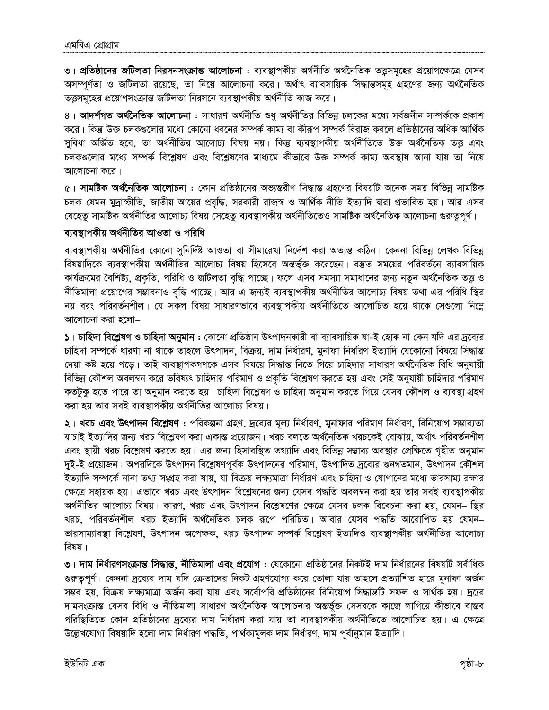৩। প্রতিষ্ঠানের জটিলতা নিরসনসংক্রান্ত আলোচনা : ব্যবস্থাপকীয় অর্থনীতি অর্থনৈতিক তত্তুসমূহের প্রয়োগক্ষেত্রে যেসব অসম্পূর্ণতা ও জটিলতা রয়েছে, তা নিয়ে আলোচনা করে। অর্থাৎ ব্যাবসায়িক সিদ্ধান্তসমূহ গ্রহণের জন্য অর্থনৈতিক তত্তুসমূহের প্রয়োগসংক্রান্ত জটিলতা নিরসনে ব্যবস্থাপকীয় অর্থনীতি কাজ করে।

৪। **আদর্শগত অর্থনৈতিক আলোচনা** : সাধারণ অর্থনীতি শুধু অর্থনীতির বিভিন্ন চলকের মধ্যে সর্বজনীন সম্পর্ককে প্রকাশ করে। কিন্তু উক্ত চলকগুলোর মধ্যে কোনো ধরনের সম্পর্ক কাম্য বা কীরূপ সম্পর্ক বিরাজ করলে প্রতিষ্ঠানের অধিক আর্থিক সুবিধা অৰ্জিত হবে, তা অৰ্থনীতির আলোচ্য বিষয় নয়। কিন্তু ব্যবস্থাপকীয় অৰ্থনীতিতে উক্ত অৰ্থনৈতিক তত্ত এবং চলকগুলোর মধ্যে সম্পর্ক বিশ্লেষণ এবং বিশ্লেষণের মাধ্যমে কীভাবে উক্ত সম্পর্ক কাম্য অবস্থায় আনা যায় তা নিয়ে আলোচনা করে।

৫। **সামষ্টিক অৰ্থনৈতিক আলোচনা** : কোন প্ৰতিষ্ঠানের অভ্যন্তরীণ সিদ্ধান্ত গ্রহণের বিষয়টি অনেক সময় বিভিন্ন সামষ্টিক চলক যেমন মুদ্রাস্ফীতি, জাতীয় আয়ের প্রবৃদ্ধি, সরকারী রাজস্ব ও আর্থিক নীতি ইত্যাদি দ্বারা প্রভাবিত হয়। আর এসব যেহেতু সামষ্টিক অৰ্থনীতির আলোচ্য বিষয় সেহেতু ব্যবস্থাপকীয় অৰ্থনীতিতেও সামষ্টিক অৰ্থনৈতিক আলোচনা গুরুত্বপূর্ণ।

### ব্যবস্থাপকীয় অর্থনীতির আওতা ও পরিধি

ব্যবস্থাপকীয় অর্থনীতির কোনো সুনির্দিষ্ট আওতা বা সীমারেখা নির্দেশ করা অত্যন্ত কঠিন। কেননা বিভিন্ন লেখক বিভিন্ন বিষয়াদিকে ব্যবস্থাপকীয় অর্থনীতির আলোচ্য বিষয় হিসেবে অন্তর্ভূক্ত করেছেন। বস্তুত সময়ের পরিবর্তনে ব্যাবসায়িক কার্যক্রমের বৈশিষ্ট্য, প্রকৃতি, পরিধি ও জটিলতা বৃদ্ধি পাচ্ছে। ফলে এসব সমস্যা সমাধানের জন্য নতুন অর্থনৈতিক তত্তু ও নীতিমালা প্রয়োগের সম্ভাবনাও বৃদ্ধি পাচ্ছে। আর এ জন্যই ব্যবস্থাপকীয় অর্থনীতির আলোচ্য বিষয় তথা এর পরিধি স্থির নয় বরং পরিবর্তনশীল। যে সকল বিষয় সাধারণভাবে ব্যবস্থাপকীয় অর্থনীতিতে আলোচিত হয়ে থাকে সেগুলো নিম্লে আলোচনা করা হলো–

১। চাহিদা বিশ্লেষণ ও চাহিদা অনুমান : কোনো প্রতিষ্ঠান উৎপাদনকারী বা ব্যাবসায়িক যা-ই হোক না কেন যদি এর দ্রব্যের চাহিদা সম্পর্কে ধারণা না থাকে তাহলে উৎপাদন, বিক্রয়, দাম নির্ধারণ, মুনাফা নির্ধারণ ইত্যাদি যেকোনো বিষয়ে সিদ্ধান্ত দেয়া কষ্ট হয়ে পড়ে। তাই ব্যবস্থাপকগণকে এসব বিষয়ে সিদ্ধান্ত নিতে গিয়ে চাহিদার সাধারণ অর্থনৈতিক বিধি অনুযায়ী বিভিন্ন কৌশল অবলম্বন করে ভবিষ্যৎ চাহিদার পরিমাণ ও প্রকৃতি বিশ্লেষণ করতে হয় এবং সেই অনুযায়ী চাহিদার পরিমাণ কতটুকু হতে পারে তা অনুমান করতে হয়। চাহিদা বিশ্লেষণ ও চাহিদা অনুমান করতে গিয়ে যেসব কৌশল ও ব্যবস্থা গ্রহণ করা হয় তার সবই ব্যবস্থাপকীয় অর্থনীতির আলোচ্য বিষয়।

২। খরচ এবং উৎপাদন বিশ্লেষণ : পরিকল্পনা গ্রহণ, দ্রব্যের মূল্য নির্ধারণ, মুনাফার পরিমাণ নির্ধারণ, বিনিয়োগ সম্ভাব্যতা যাচাই ইত্যাদির জন্য খরচ বিশ্লেষণ করা একান্ত প্রয়োজন। খরচ বলতে অর্থনৈতিক খরচকেই বোঝায়, অর্থাৎ পরিবর্তনশীল এবং স্থায়ী খরচ বিশ্লেষণ করতে হয়। এর জন্য হিসাবস্থিত তথ্যাদি এবং বিভিন্ন সম্ভাব্য অবস্থার প্রেক্ষিতে গৃহীত অনুমান দুই-ই প্রয়োজন। অপরদিকে উৎপাদন বিশ্লেষণপূর্বক উৎপাদনের পরিমাণ, উৎপাদিত দ্রব্যের গুনগতমান, উৎপাদন কৌশল ইত্যাদি সম্পর্কে নানা তথ্য সংগ্রহ করা যায়, যা বিক্রয় লক্ষ্যমাত্রা নির্ধারণ এবং চাহিদা ও যোগানের মধ্যে ভারসাম্য রক্ষার ক্ষেত্রে সহায়ক হয়। এভাবে খরচ এবং উৎপাদন বিশ্লেষনের জন্য যেসব পদ্ধতি অবলম্বন করা হয় তার সবই ব্যবস্থাপকীয় অর্থনীতির আলোচ্য বিষয়। কারণ, খরচ এবং উৎপাদন বিশ্লেষণের ক্ষেত্রে যেসব চলক বিবেচনা করা হয়, যেমন– স্থির খরচ, পরিবর্তনশীল খরচ ইত্যাদি অর্থনৈতিক চলক রূপে পরিচিত। আবার যেসব পদ্ধতি আরোপিত হয় যেমন– ভারসাম্যাবস্থা বিশ্লেষণ, উৎপাদন অপেক্ষক, খরচ উৎপাদন সম্পর্ক বিশ্লেষণ ইত্যদিও ব্যবস্থাপকীয় অর্থনীতির আলোচ্য বিষয়।

৩। দাম নির্ধারণসংক্রান্ত সিদ্ধান্ত, নীতিমালা এবং প্রযোগ : যেকোনো প্রতিষ্ঠানের নিকটই দাম নির্ধারনের বিষয়টি সর্বাধিক গুরুতুপূর্ণ। কেননা দ্রব্যের দাম যদি ক্রেতাদের নিকট গ্রহণযোগ্য করে তোলা যায় তাহলে প্রত্যাশিত হারে মুনাফা অর্জন সম্ভব হয়, বিক্রয় লক্ষ্যমাত্রা অর্জন করা যায় এবং সর্বোপরি প্রতিষ্ঠানের বিনিয়োগ সিদ্ধান্তটি সফল ও সার্থক হয়। দ্রুরে দামসংক্রান্ত যেসব বিধি ও নীতিমালা সাধারণ অর্থনৈতিক আলোচনার অন্তর্ভূক্ত সেসবকে কাজে লাগিয়ে কীভাবে বাস্তব পরিস্থিতিতে কোন প্রতিষ্ঠানের দ্রব্যের দাম নির্ধারণ করা যায় তা ব্যবস্থাপকীয় অর্থনীতিতে আলোচিত হয়। এ ক্ষেত্রে উল্লেখযোগ্য বিষয়াদি হলো দাম নিৰ্ধারণ পদ্ধতি, পাৰ্থক্যমূলক দাম নিৰ্ধারণ, দাম পূৰ্বানুমান ইত্যাদি।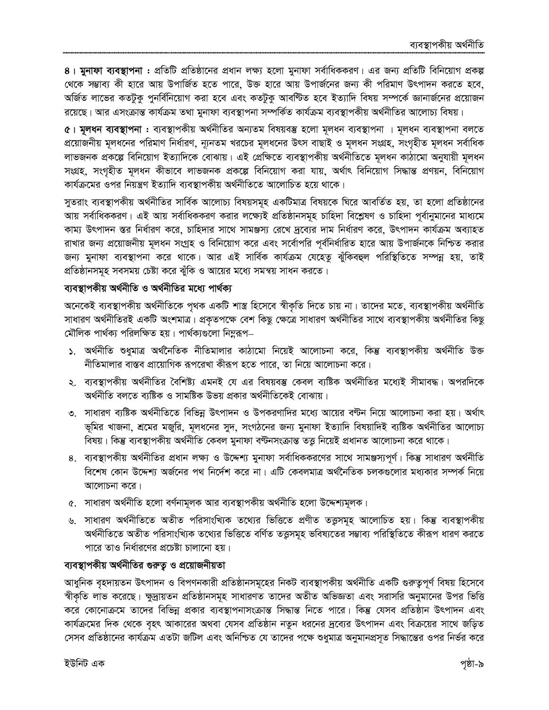৪। মুনাফা ব্যবস্থাপনা : প্রতিটি প্রতিষ্ঠানের প্রধান লক্ষ্য হলো মুনাফা সর্বাধিককরণ। এর জন্য প্রতিটি বিনিয়োগ প্রকল্প থেকে সম্ভাব্য কী হারে আয় উপার্জিত হতে পারে, উক্ত হারে আয় উপার্জনের জন্য কী পরিমাণ উৎপাদন করতে হবে, অর্জিত লাভের কতটুকু পুনর্বিনিয়োগ করা হবে এবং কতটুকু আবণ্টিত হবে ইত্যাদি বিষয় সম্পর্কে জ্ঞানার্জনের প্রয়োজন রয়েছে। আর এসংক্রান্ত কার্যক্রম তথা মুনাফা ব্যবস্থাপনা সম্পর্কিত কার্যক্রম ব্যবস্থাপকীয় অর্থনীতির আলোচ্য বিষয়।

৫। মূলধন ব্যবস্থাপনা : ব্যবস্থাপকীয় অর্থনীতির অন্যতম বিষয়বস্তু হলো মূলধন ব্যবস্থাপনা । মূলধন ব্যবস্থাপনা বলতে প্রয়োজনীয় মূলধনের পরিমাণ নির্ধারণ, ন্যূনতম খরচের মূলধনের উৎস বাছাই ও মূলধন সংগ্রহ, সংগৃহীত মূলধন সর্বাধিক লাভজনক প্ৰকল্পে বিনিয়োগ ইত্যাদিকে বোঝায়। এই প্ৰেক্ষিতে ব্যবস্থাপকীয় অৰ্থনীতিতে মূলধন কাঠামো অনুযায়ী মূলধন সংগ্রহ, সংগৃহীত মূলধন কীভাবে লাভজনক প্রকল্পে বিনিয়োগ করা যায়, অর্থাৎ বিনিয়োগ সিদ্ধান্ত প্রণয়ন, বিনিয়োগ কার্যক্রমের ওপর নিয়ন্ত্রণ ইত্যাদি ব্যবস্থাপকীয় অর্থনীতিতে আলোচিত হয়ে থাকে।

সুতরাং ব্যবস্থাপকীয় অর্থনীতির সার্বিক আলোচ্য বিষয়সমূহ একটিমাত্র বিষয়কে ঘিরে আবর্তিত হয়, তা হলো প্রতিষ্ঠানের আয় সর্বাধিককরণ। এই আয় সর্বাধিককরণ করার লক্ষ্যেই প্রতিষ্ঠানসমূহ চাহিদা বিশ্লেষণ ও চাহিদা পূর্বানুমানের মাধ্যমে কাম্য উৎপাদন স্তর নির্ধারণ করে, চাহিদার সাথে সামঞ্জস্য রেখে দ্রব্যের দাম নির্ধারণ করে, উৎপাদন কার্যক্রম অব্যাহত রাখার জন্য প্রয়োজনীয় মূলধন সংগ্রহ ও বিনিয়োগ করে এবং সর্বোপরি পূর্বনির্ধারিত হারে আয় উপার্জনকে নিশ্চিত করার জন্য মুনাফা ব্যবস্থাপনা করে থাকে। আর এই সার্বিক কার্যক্রম যেহেতু ঝুঁকিবহুল পরিস্থিতিতে সম্পন্ন হয়, তাই প্রতিষ্ঠানসমূহ সবসময় চেষ্টা করে ঝুঁকি ও আয়ের মধ্যে সমন্বয় সাধন করতে।

# ব্যবস্থাপকীয় অর্থনীতি ও অর্থনীতির মধ্যে পার্থক্য

অনেকেই ব্যবস্থাপকীয় অর্থনীতিকে পৃথক একটি শাস্ত্র হিসেবে স্বীকৃতি দিতে চায় না। তাদের মতে, ব্যবস্থাপকীয় অর্থনীতি সাধারণ অর্থনীতিরই একটি অংশমাত্র। প্রকৃতপক্ষে বেশ কিছু ক্ষেত্রে সাধারণ অর্থনীতির সাথে ব্যবস্থাপকীয় অর্থনীতির কিছু মৌলিক পার্থক্য পরিলক্ষিত হয়। পার্থক্যগুলো নিমুরূপ–

- ১. অৰ্থনীতি শুধুমাত্ৰ অৰ্থনৈতিক নীতিমালার কাঠামো নিয়েই আলোচনা করে, কিন্তু ব্যবস্থাপকীয় অৰ্থনীতি উক্ত নীতিমালার বাস্তব প্রায়োগিক রূপরেখা কীরূপ হতে পারে, তা নিয়ে আলোচনা করে।
- ২. ব্যবস্থাপকীয় অর্থনীতির বৈশিষ্ট্য এমনই যে এর বিষয়বস্তু কেবল ব্যষ্টিক অর্থনীতির মধ্যেই সীমাবদ্ধ। অপরদিকে অৰ্থনীতি বলতে ব্যষ্টিক ও সামষ্টিক উভয় প্ৰকার অৰ্থনীতিকেই বোঝায়।
- ৩. সাধারণ ব্যষ্টিক অর্থনীতিতে বিভিন্ন উৎপাদন ও উপকরণাদির মধ্যে আয়ের বণ্টন নিয়ে আলোচনা করা হয়। অর্থাৎ ভূমির খাজনা, শ্রমের মজুরি, মূলধনের সুদ, সংগঠনের জন্য মুনাফা ইত্যাদি বিষয়াদিই ব্যষ্টিক অর্থনীতির আলোচ্য বিষয়। কিন্তু ব্যবস্থাপকীয় অর্থনীতি কেবল মুনাফা বণ্টনসংক্রান্ত তত্ত্ব নিয়েই প্রধানত আলোচনা করে থাকে।
- ৪. ব্যবস্থাপকীয় অর্থনীতির প্রধান লক্ষ্য ও উদ্দেশ্য মুনাফা সর্বাধিককরণের সাথে সামঞ্জস্যপূর্ণ। কিন্তু সাধারণ অর্থনীতি বিশেষ কোন উদ্দেশ্য অর্জনের পথ নির্দেশ করে না। এটি কেবলমাত্র অর্থনৈতিক চলকগুলোর মধ্যকার সম্পর্ক নিয়ে আলোচনা করে।
- ৫. সাধারণ অর্থনীতি হলো বর্ণনামূলক আর ব্যবস্থাপকীয় অর্থনীতি হলো উদ্দেশ্যমূলক।
- ৬. সাধারণ অর্থনীতিতে অতীত পরিসাংখ্যিক তথ্যের ভিত্তিতে প্রণীত তত্তুসমূহ আলোচিত হয়। কিন্তু ব্যবস্থাপকীয় অৰ্থনীতিতে অতীত পরিসাংখ্যিক তথ্যের ভিত্তিতে বর্ণিত তত্তসমূহ ভবিষ্যতের সম্ভাব্য পরিস্থিতিতে কীরূপ ধারণ করতে পারে তাও নির্ধারণের প্রচেষ্টা চালানো হয়।

# ব্যবস্থাপকীয় অর্থনীতির গুরুত্ব ও প্রয়োজনীয়তা

আধুনিক বৃহদায়তন উৎপাদন ও বিপণনকারী প্রতিষ্ঠানসমূহের নিকট ব্যবস্থাপকীয় অর্থনীতি একটি গুরুতুপূর্ণ বিষয় হিসেবে স্বীকৃতি লাভ করেছে। ক্ষুদ্রায়তন প্রতিষ্ঠানসমূহ সাধারণত তাদের অতীত অভিজ্ঞতা এবং সরাসরি অনুমানের উপর ভিত্তি করে কোনোক্রমে তাদের বিভিন্ন প্রকার ব্যবস্থাপনাসংক্রান্ত সিদ্ধান্ত নিতে পারে। কিন্তু যেসব প্রতিষ্ঠান উৎপাদন এবং কার্যক্রমের দিক থেকে বৃহৎ আকারের অথবা যেসব প্রতিষ্ঠান নতুন ধরনের দ্রব্যের উৎপাদন এবং বিক্রয়ের সাথে জড়িত সেসব প্রতিষ্ঠানের কার্যক্রম এতটা জটিল এবং অনিশ্চিত যে তাদের পক্ষে শুধুমাত্র অনুমানপ্রসূত সিদ্ধান্তের ওপর নির্ভর করে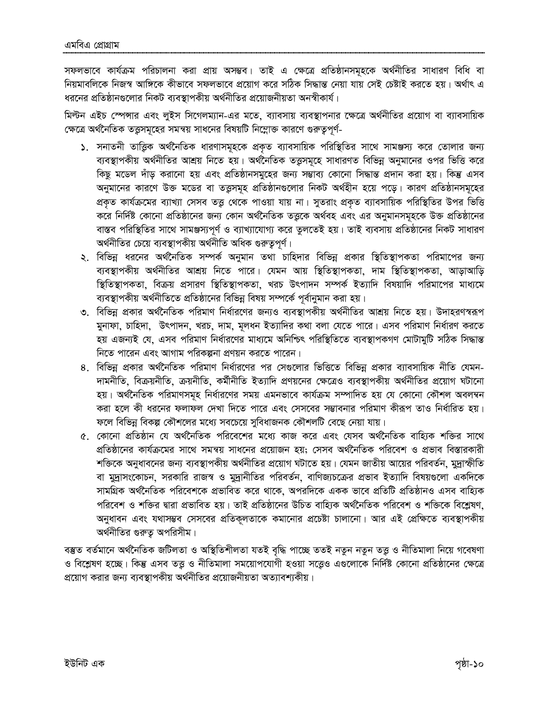সফলভাবে কার্যক্রম পরিচালনা করা প্রায় অসম্ভব। তাই এ ক্ষেত্রে প্রতিষ্ঠানসমূহকে অর্থনীতির সাধারণ বিধি বা নিয়মাবলিকে নিজস্ব আঙ্গিকে কীভাবে সফলভাবে প্রয়োগ করে সঠিক সিদ্ধান্ত নেয়া যায় সেই চেষ্টাই করতে হয়। অর্থাৎ এ ধরনের প্রতিষ্ঠানগুলোর নিকট ব্যবস্থাপকীয় অর্থনীতির প্রয়োজনীয়তা অনস্বীকার্য।

মিল্টন এইচ স্পেন্সার এবং লুইস সিগেলম্যান-এর মতে, ব্যাবসায় ব্যবস্থাপনার ক্ষেত্রে অর্থনীতির প্রয়োগ বা ব্যাবসায়িক ক্ষেত্রে অর্থনৈতিক তত্তসমূহের সমন্বয় সাধনের বিষয়টি নিম্লোক্ত কারণে গুরুতৃপর্ণ-

- ১. সনাতনী তাত্তিক অর্থনৈতিক ধারণাসমূহকে প্রকৃত ব্যাবসায়িক পরিস্থিতির সাথে সামঞ্জস্য করে তোলার জন্য ব্যবস্থাপকীয় অর্থনীতির আশ্রয় নিতে হয়। অর্থনৈতিক তত্তুসমূহে সাধারণত বিভিন্ন অনুমানের ওপর ভিত্তি করে কিছু মডেল দাঁড করানো হয় এবং প্রতিষ্ঠানসমূহের জন্য সম্ভাব্য কোনো সিদ্ধান্ত প্রদান করা হয়। কিন্তু এসব অনুমানের কারণে উক্ত মডের বা তত্তসমূহ প্রতিষ্ঠানগুলোর নিকট অর্থহীন হয়ে পড়ে। কারণ প্রতিষ্ঠানসমূহের প্রকৃত কার্যক্রমের ব্যাখ্যা সেসব তত্ত থেকে পাওয়া যায় না। সুতরাং প্রকৃত ব্যাবসায়িক পরিস্থিতির উপর ভিত্তি করে নির্দিষ্ট কোনো প্রতিষ্ঠানের জন্য কোন অর্থনৈতিক তত্ত্বকে অর্থবহ এবং এর অনুমানসমূহকে উক্ত প্রতিষ্ঠানের বাস্তব পরিস্থিতির সাথে সামঞ্জস্যপূর্ণ ও ব্যাখ্যাযোগ্য করে তুলতেই হয়। তাই ব্যবসায় প্রতিষ্ঠানের নিকট সাধারণ অৰ্থনীতির চেয়ে ব্যবস্থাপকীয় অৰ্থনীতি অধিক গুরুতৃপূর্ণ।
- ২. বিভিন্ন ধরনের অর্থনৈতিক সম্পর্ক অনুমান তথা চাহিদার বিভিন্ন প্রকার স্থিতিস্থাপকতা পরিমাপের জন্য ব্যবস্থাপকীয় অৰ্থনীতির আশ্রয় নিতে পারে। যেমন আয় স্থিতিস্থাপকতা, দাম স্থিতিস্থাপকতা, আড়াআড়ি স্থিতিস্থাপকতা, বিক্রয় প্রসারণ স্থিতিস্থাপকতা, খরচ উৎপাদন সম্পর্ক ইত্যাদি বিষয়াদি পরিমাপের মাধ্যমে ব্যবস্থাপকীয় অর্থনীতিতে প্রতিষ্ঠানের বিভিন্ন বিষয় সম্পর্কে পূর্বানুমান করা হয়।
- ৩. বিভিন্ন প্রকার অর্থনৈতিক পরিমাণ নির্ধারণের জন্যও ব্যবস্থাপকীয় অর্থনীতির আশ্রয় নিতে হয়। উদাহরণস্বরূপ মুনাফা, চাহিদা, উৎপাদন, খরচ, দাম, মূলধন ইত্যাদির কথা বলা যেতে পারে। এসব পরিমাণ নির্ধারণ করতে হয় এজন্যই যে, এসব পরিমাণ নির্ধারণের মাধ্যমে অনিশ্চিৎ পরিস্থিতিতে ব্যবস্থাপকগণ মোটামুটি সঠিক সিদ্ধান্ত নিতে পারেন এবং আগাম পরিকল্পনা প্রণয়ন করতে পারেন।
- ৪. বিভিন্ন প্রকার অর্থনৈতিক পরিমাণ নির্ধারণের পর সেগুলোর ভিত্তিতে বিভিন্ন প্রকার ব্যাবসায়িক নীতি যেমন-দামনীতি, বিক্রয়নীতি, ক্রয়নীতি, কর্মীনীতি ইত্যাদি প্রণয়নের ক্ষেত্রেও ব্যবস্থাপকীয় অর্থনীতির প্রয়োগ ঘটানো হয়। অর্থনৈতিক পরিমাণসমূহ নির্ধারণের সময় এমনভাবে কার্যক্রম সম্পাদিত হয় যে কোনো কৌশল অবলম্বন করা হলে কী ধরনের ফলাফল দেখা দিতে পারে এবং সেসবের সম্ভাবনার পরিমাণ কীরূপ তাও নির্ধারিত হয়। ফলে বিভিন্ন বিকল্প কৌশলের মধ্যে সবচেয়ে সবিধাজনক কৌশলটি বেছে নেয়া যায়।
- ৫. কোনো প্রতিষ্ঠান যে অর্থনৈতিক পরিবেশের মধ্যে কাজ করে এবং যেসব অর্থনৈতিক বাহ্যিক শক্তির সাথে প্রতিষ্ঠানের কার্যক্রমের সাথে সমন্বয় সাধনের প্রয়োজন হয়; সেসব অর্থনৈতিক পরিবেশ ও প্রভাব বিস্তারকারী শক্তিকে অনুধাবনের জন্য ব্যবস্থাপকীয় অর্থনীতির প্রয়োগ ঘটাতে হয়। যেমন জাতীয় আয়ের পরিবর্তন, মুদ্রাস্ফীতি বা মুদ্রাসংকোচন, সরকারি রাজস্ব ও মুদ্রানীতির পরিবর্তন, বাণিজ্যচক্রের প্রভাব ইত্যাদি বিষয়গুলো একদিকে সামগ্রিক অর্থনৈতিক পরিবেশকে প্রভাবিত করে থাকে, অপরদিকে একক ভাবে প্রতিটি প্রতিষ্ঠানও এসব বাহ্যিক পরিবেশ ও শক্তির দ্বারা প্রভাবিত হয়। তাই প্রতিষ্ঠানের উচিত বাহ্যিক অর্থনৈতিক পরিবেশ ও শক্তিকে বিশ্লেষণ, অনুধাবন এবং যথাসম্ভব সেসবের প্রতিকলতাকে কমানোর প্রচেষ্টা চালানো। আর এই প্রেক্ষিতে ব্যবস্থাপকীয় অর্থনীতির গুরুতূ অপরিসীম।

বম্ভুত বৰ্তমানে অৰ্থনৈতিক জটিলতা ও অস্থিতিশীলতা যতই বৃদ্ধি পাচ্ছে ততই নতুন নতুন তত্তু ও নীতিমালা নিয়ে গবেষণা ও বিশ্লেষণ হচ্ছে। কিন্তু এসব ততু ও নীতিমালা সময়োপযোগী হওয়া সত্তেও এগুলোকে নির্দিষ্ট কোনো প্রতিষ্ঠানের ক্ষেত্রে প্রয়োগ করার জন্য ব্যবস্থাপকীয় অর্থনীতির প্রয়োজনীয়তা অত্যাবশ্যকীয়।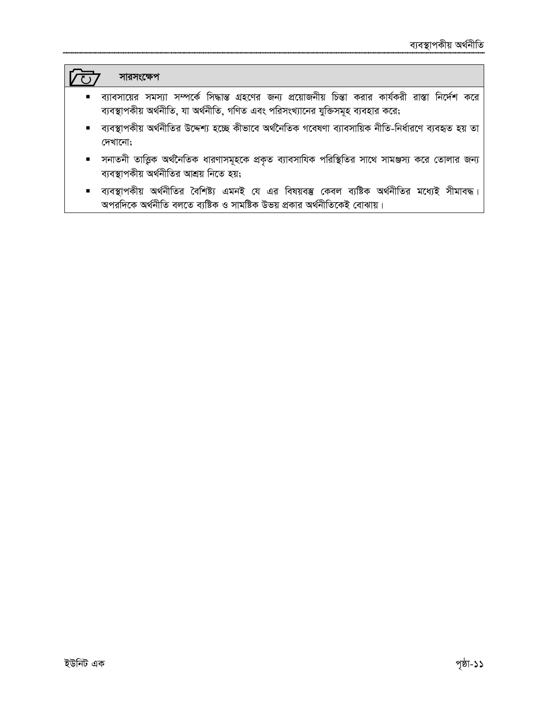# সারসংক্ষেপ

ल्कि

- ব্যাবসায়ের সমস্যা সম্পর্কে সিদ্ধান্ত গ্রহণের জন্য প্রয়োজনীয় চিন্তা করার কার্যকরী রাস্তা নির্দেশ করে ব্যবস্থাপকীয় অর্থনীতি, যা অর্থনীতি, গণিত এবং পরিসংখ্যানের যুক্তিসমূহ ব্যবহার করে;
- ব্যবস্থাপকীয় অর্থনীতির উদ্দেশ্য হচ্ছে কীভাবে অর্থনৈতিক গবেষণা ব্যাবসায়িক নীতি-নির্ধারণে ব্যবহৃত হয় তা দেখানো;
- সনাতনী তাত্ত্বিক অর্থনৈতিক ধারণাসমূহকে প্রকৃত ব্যাবসাযিক পরিস্থিতির সাথে সামঞ্জস্য করে তোলার জন্য ব্যবস্থাপকীয় অর্থনীতির আশ্রয় নিতে হয়;
- ব্যবস্থাপকীয় অর্থনীতির বৈশিষ্ট্য এমনই যে এর বিষয়বস্তু কেবল ব্যষ্টিক অর্থনীতির মধ্যেই সীমাবদ্ধ।  $\blacksquare$ অপরদিকে অর্থনীতি বলতে ব্যষ্টিক ও সামষ্টিক উভয় প্রকার অর্থনীতিকেই বোঝায়।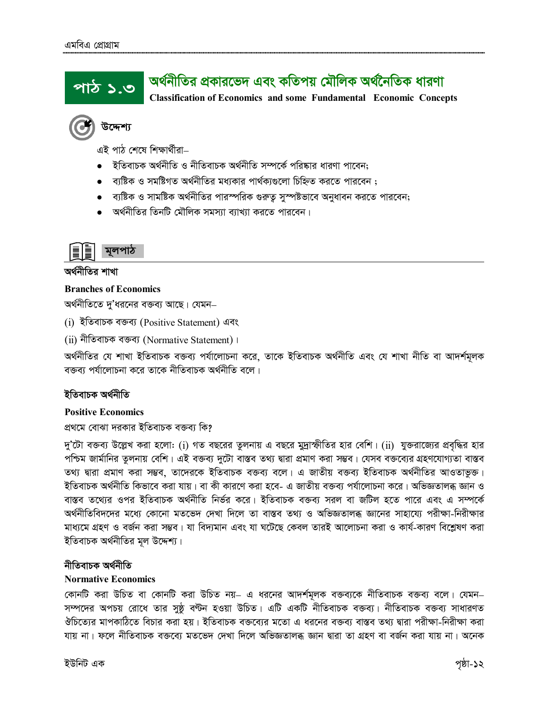#### অর্থনীতির প্রকারভেদ এবং কতিপয় মৌলিক অর্থনৈতিক ধারণা <u>পাঠ ১.৩</u> **Classification of Economics and some Fundamental Economic Concepts**

উদ্দেশ্য

এই পাঠ শেষে শিক্ষাৰ্থীৱা–

- ইতিবাচক অৰ্থনীতি ও নীতিবাচক অৰ্থনীতি সম্পৰ্কে পৱিষ্কাৱ ধাৱণা পাবেন:
- ব্যষ্টিক ও সমষ্টিগত অর্থনীতির মধ্যকার পার্থক্যগুলো চিহ্নিত করতে পারবেন ;
- ব্যষ্টিক ও সামষ্টিক অর্থনীতির পারস্পরিক গুরুতু সুস্পষ্টভাবে অনুধাবন করতে পারবেন;
- অর্থনীতির তিনটি মৌলিক সমস্যা ব্যাখ্যা করতে পারবেন।



অর্থনীতির শাখা

### **Branches of Economics**

অর্থনীতিতে দু'ধরনের বক্তব্য আছে। যেমন–

(i) ইতিবাচক বক্তব্য (Positive Statement) এবং

(ii) নীতিবাচক বক্তব্য (Normative Statement)।

অৰ্থনীতির যে শাখা ইতিবাচক বক্তব্য পৰ্যালোচনা করে, তাকে ইতিবাচক অৰ্থনীতি এবং যে শাখা নীতি বা আদর্শমূলক বক্তব্য পর্যালোচনা করে তাকে নীতিবাচক অর্থনীতি বলে।

# ইতিবাচক অৰ্থনীতি

### **Positive Economics**

প্রথমে বোঝা দরকার ইতিবাচক বক্তব্য কি?

দু'টো বক্তব্য উল্লেখ করা হলো: (i) গত বছরের তুলনায় এ বছরে মুদ্রাস্ফীতির হার বেশি। (ii) যুক্তরাজ্যের প্রবৃদ্ধির হার পশ্চিম জার্মানির তুলনায় বেশি। এই বক্তব্য দুটো বাস্তব তথ্য দ্বারা প্রমাণ করা সম্ভব। যেসব বক্তব্যের গ্রহণযোগ্যতা বাস্তব তথ্য দ্বারা প্রমাণ করা সম্ভব, তাদেরকে ইতিবাচক বক্তব্য বলে। এ জাতীয় বক্তব্য ইতিবাচক অর্থনীতির আওতাভুক্ত। ইতিবাচক অর্থনীতি কিভাবে করা যায়। বা কী কারণে করা হবে- এ জাতীয় বক্তব্য পর্যালোচনা করে। অভিজ্ঞতালব্ধ জ্ঞান ও বাস্তব তথ্যের ওপর ইতিবাচক অর্থনীতি নির্ভর করে। ইতিবাচক বক্তব্য সরল বা জটিল হতে পারে এবং এ সম্পর্কে অৰ্থনীতিবিদদের মধ্যে কোনো মতভেদ দেখা দিলে তা বাস্তব তথ্য ও অভিজ্ঞতালব্ধ জ্ঞানের সাহায্যে পরীক্ষা-নিরীক্ষার মাধ্যমে গ্রহণ ও বর্জন করা সম্ভব। যা বিদ্যমান এবং যা ঘটেছে কেবল তারই আলোচনা করা ও কার্য-কারণ বিশ্লেষণ করা ইতিবাচক অৰ্থনীতির মূল উদ্দেশ্য।

### নীতিবাচক অৰ্থনীতি

### **Normative Economics**

কোনটি করা উচিত বা কোনটি করা উচিত নয়– এ ধরনের আদর্শমূলক বক্তব্যকে নীতিবাচক বক্তব্য বলে। যেমন– সম্পদের অপচয় রোধে তার সুষ্ঠ বণ্টন হওয়া উচিত। এটি একটি নীতিবাচক বক্তব্য। নীতিবাচক বক্তব্য সাধারণত ঔচিত্যের মাপকাঠিতে বিচার করা হয়। ইতিবাচক বক্তব্যের মতো এ ধরনের বক্তব্য বাস্তব তথ্য দ্বারা পরীক্ষা-নিরীক্ষা করা যায় না। ফলে নীতিবাচক বক্তব্যে মতভেদ দেখা দিলে অভিজ্ঞতালব্ধ জ্ঞান দ্বারা তা গ্রহণ বা বর্জন করা যায় না। অনেক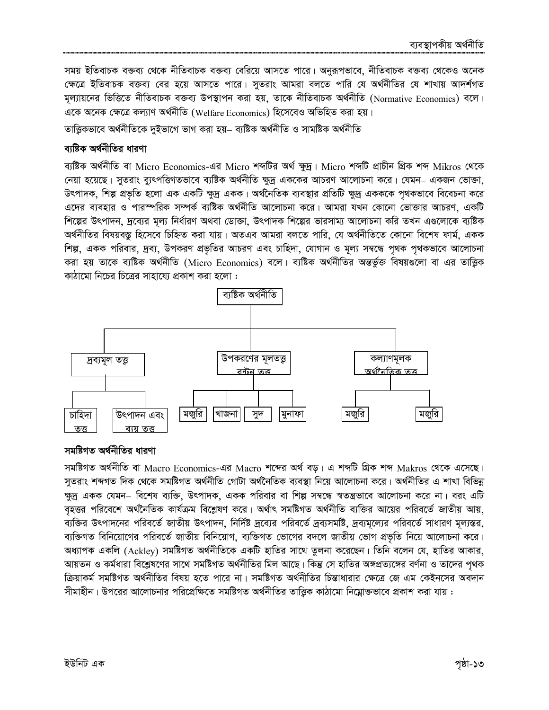সময় ইতিবাচক বক্তব্য থেকে নীতিবাচক বক্তব্য বেরিয়ে আসতে পারে। অনুরূপভাবে, নীতিবাচক বক্তব্য থেকেও অনেক ক্ষেত্রে ইতিবাচক বক্তব্য বের হয়ে আসতে পারে। সুতরাং আমরা বলতে পারি যে অর্থনীতির যে শাখায় আদর্শগত মূল্যায়নের ভিত্তিতে নীতিবাচক বক্তব্য উপস্থাপন করা হয়, তাকে নীতিবাচক অর্থনীতি (Normative Economics) বলে। একে অনেক ক্ষেত্রে কল্যাণ অর্থনীতি (Welfare Economics) হিসেবেও অভিহিত করা হয়।

তাত্তিকভাবে অৰ্থনীতিকে দুইভাগে ভাগ করা হয়– ব্যষ্টিক অৰ্থনীতি ও সামষ্টিক অৰ্থনীতি

# ব্যষ্টিক অর্থনীতির ধারণা

ব্যষ্টিক অৰ্থনীতি বা Micro Economics-এর Micro শব্দটির অর্থ ক্ষুদ্র। Micro শব্দটি প্রাচীন গ্রিক শব্দ Mikros থেকে নেয়া হয়েছে। সুতরাং ব্যুৎপত্তিগতভাবে ব্যষ্টিক অর্থনীতি ক্ষুদ্র এককের আচরণ আলোচনা করে। যেমন– একজন ভোক্তা, উৎপাদক, শিল্প প্রভৃতি হলো এক একটি ক্ষুদ্র একক। অর্থনৈতিক ব্যবস্থার প্রতিটি ক্ষুদ্র একককে পৃথকভাবে বিবেচনা করে এদের ব্যবহার ও পারস্পরিক সম্পর্ক ব্যষ্টিক অর্থনীতি আলোচনা করে। আমরা যখন কোনো ভোক্তার আচরণ, একটি শিল্পের উৎপাদন, দ্রব্যের মূল্য নির্ধারণ অথবা ডোক্তা, উৎপাদক শিল্পের ভারসাম্য আলোচনা করি তখন এগুলোকে ব্যষ্টিক অৰ্থনীতির বিষয়বস্তু হিসেবে চিহ্নিত করা যায়। অতএব আমরা বলতে পারি, যে অর্থনীতিতে কোনো বিশেষ ফার্ম, একক শিল্প, একক পরিবার, দ্রব্য, উপকরণ প্রভৃতির আচরণ এবং চাহিদা, যোগান ও মূল্য সম্বন্ধে পৃথক পৃথকভাবে আলোচনা করা হয় তাকে ব্যষ্টিক অর্থনীতি (Micro Economics) বলে। ব্যষ্টিক অর্থনীতির অন্তর্ভুক্ত বিষয়গুলো বা এর তাত্ত্বিক কাঠামো নিচের চিত্রের সাহায্যে প্রকাশ করা হলো :



# সমষ্টিগত অৰ্থনীতির ধারণা

সমষ্টিগত অৰ্থনীতি বা Macro Economics-এর Macro শব্দের অর্থ বড়। এ শব্দটি গ্রিক শব্দ Makros থেকে এসেছে। সুতরাং শব্দগত দিক থেকে সমষ্টিগত অর্থনীতি গোটা অর্থনৈতিক ব্যবস্থা নিয়ে আলোচনা করে। অর্থনীতির এ শাখা বিভিন্ন ক্ষুদ্র একক যেমন– বিশেষ ব্যক্তি, উৎপাদক, একক পরিবার বা শিল্প সম্বন্ধে স্বতন্ত্রভাবে আলোচনা করে না। বরং এটি বহত্তর পরিবেশে অর্থনৈতিক কার্যক্রম বিশ্লেষণ করে। অর্থাৎ সমষ্টিগত অর্থনীতি ব্যক্তির আয়ের পরিবর্তে জাতীয় আয়, ব্যক্তির উৎপাদনের পরিবর্তে জাতীয় উৎপাদন, নির্দিষ্ট দ্রব্যের পরিবর্তে দ্রব্যসমষ্টি, দ্রব্যমূল্যের পরিবর্তে সাধারণ মূল্যস্তর, ব্যক্তিগত বিনিয়োগের পরিবর্তে জাতীয় বিনিয়োগ, ব্যক্তিগত ভোগের বদলে জাতীয় ভোগ প্রভৃতি নিয়ে আলোচনা করে। অধ্যাপক একলি (Ackley) সমষ্টিগত অর্থনীতিকে একটি হাতির সাথে তুলনা করেছেন। তিনি বলেন যে, হাতির আকার, আয়তন ও কর্মধারা বিশ্লেষণের সাথে সমষ্টিগত অর্থনীতির মিল আছে। কিন্তু সে হাতির অঙ্গপ্রত্যঙ্গের বর্ণনা ও তাদের পৃথক ক্রিয়াকর্ম সমষ্টিগত অর্থনীতির বিষয় হতে পারে না। সমষ্টিগত অর্থনীতির চিন্তাধারার ক্ষেত্রে জে এম কেইনসের অবদান সীমাহীন। উপরের আলোচনার পরিপ্রেক্ষিতে সমষ্টিগত অর্থনীতির তাত্তিক কাঠামো নিয়োক্তভাবে প্রকাশ করা যায় :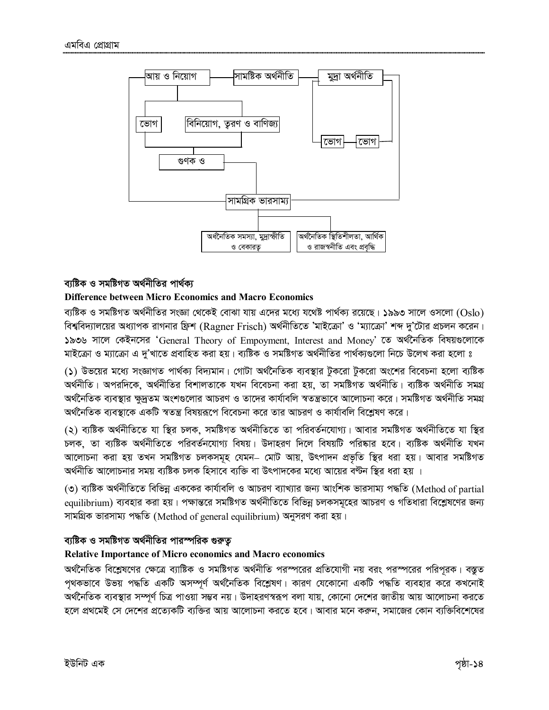

# ব্যষ্টিক ও সমষ্টিগত অৰ্থনীতির পাৰ্থক্য

### **Difference between Micro Economics and Macro Economics**

ব্যষ্টিক ও সমষ্টিগত অর্থনীতির সংজ্ঞা থেকেই বোঝা যায় এদের মধ্যে যথেষ্ট পার্থক্য রয়েছে। ১৯৯৩ সালে ওসলো  $\rm (Oslo)$ বিশ্ববিদ্যালয়ের অধ্যাপক রাগনার ফ্রিশ (Ragner Frisch) অর্থনীতিতে 'মাইক্রো' ও 'ম্যাক্রো' শব্দ দু'টোর প্রচলন করেন। ১৯৩৬ সালে কেইনসের 'General Theory of Empoyment, Interest and Money' তে অর্থনৈতিক বিষয়গুলোকে মাইক্রো ও ম্যাক্রো এ দ্'খাতে প্রবাহিত করা হয়। ব্যষ্টিক ও সমষ্টিগত অর্থনীতির পার্থক্যগুলো নিচে উলেখ করা হলো ঃ

(১) উভয়ের মধ্যে সংজ্ঞাগত পার্থক্য বিদ্যমান। গোটা অর্থনৈতিক ব্যবস্থার টুকরো টুকরো অংশের বিবেচনা হলো ব্যষ্টিক অৰ্থনীতি। অপরদিকে, অৰ্থনীতির বিশালতাকে যখন বিবেচনা করা হয়, তা সমষ্টিগত অৰ্থনীতি। ব্যষ্টিক অৰ্থনীতি সমগ্র অর্থনৈতিক ব্যবস্থার ক্ষুদ্রতম অংশগুলোর আচরণ ও তাদের কার্যাবলি স্বতন্ত্রভাবে আলোচনা করে। সমষ্টিগত অর্থনীতি সমগ্ অর্থনৈতিক ব্যবস্থাকে একটি স্বতন্ত্র বিষয়রূপে বিবেচনা করে তার আচরণ ও কার্যাবলি বিশ্লেষণ করে।

(২) ব্যষ্টিক অৰ্থনীতিতে যা স্থির চলক, সমষ্টিগত অৰ্থনীতিতে তা পরিবর্তনযোগ্য। আবার সমষ্টিগত অৰ্থনীতিতে যা স্থির চলক, তা ব্যষ্টিক অৰ্থনীতিতে পরিবর্তনযোগ্য বিষয়। উদাহরণ দিলে বিষয়টি পরিষ্কার হবে। ব্যষ্টিক অর্থনীতি যখন আলোচনা করা হয় তখন সমষ্টিগত চলকসমূহ যেমন– মোট আয়, উৎপাদন প্রভৃতি স্থির ধরা হয়। আবার সমষ্টিগত অর্থনীতি আলোচনার সময় ব্যষ্টিক চলক হিসাবে ব্যক্তি বা উৎপাদকের মধ্যে আয়ের বণ্টন স্থির ধরা হয় ।

(৩) ব্যষ্টিক অর্থনীতিতে বিভিন্ন এককের কার্যাবলি ও আচরণ ব্যাখ্যার জন্য আংশিক ভারসাম্য পদ্ধতি (Method of partial equilibrium) ব্যবহার করা হয়। পক্ষান্তরে সমষ্টিগত অর্থনীতিতে বিভিন্ন চলকসমূহের আচরণ ও গতিধারা বিশ্লেষণের জন্য সামগ্রিক ভারসাম্য পদ্ধতি (Method of general equilibrium) অনুসরণ করা হয়।

### ব্যষ্টিক ও সমষ্টিগত অর্থনীতির পারস্পরিক গুরুতূ

### **Relative Importance of Micro economics and Macro economics**

অর্থনৈতিক বিশ্লেষণের ক্ষেত্রে ব্যাষ্টিক ও সমষ্টিগত অর্থনীতি পরস্পরের প্রতিযোগী নয় বরং পরস্পরের পরিপরক। বস্তুত পৃথকভাবে উভয় পদ্ধতি একটি অসম্পূর্ণ অর্থনৈতিক বিশ্লেষণ। কারণ যেকোনো একটি পদ্ধতি ব্যবহার করে কখনোই অর্থনৈতিক ব্যবস্থার সম্পূর্ণ চিত্র পাওয়া সম্ভব নয়। উদাহরণস্বরূপ বলা যায়, কোনো দেশের জাতীয় আয় আলোচনা করতে হলে প্রথমেই সে দেশের প্রত্যেকটি ব্যক্তির আয় আলোচনা করতে হবে। আবার মনে করুন, সমাজের কোন ব্যক্তিবিশেষের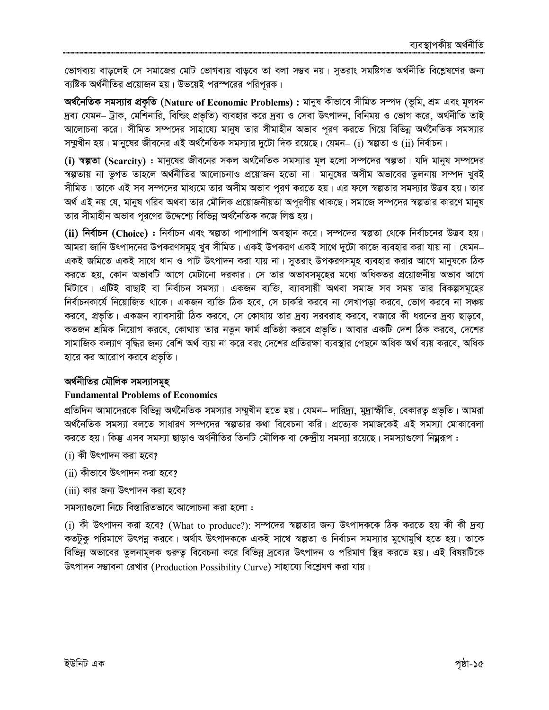ভোগব্যয় বাড়লেই সে সমাজের মোট ভোগব্যয় বাড়বে তা বলা সম্ভব নয়। সুতরাং সমষ্টিগত অর্থনীতি বিশ্লেষণের জন্য ব্যষ্টিক অর্থনীতির প্রয়োজন হয়। উভয়েই পরস্পরের পরিপূরক।

অৰ্থনৈতিক সমস্যার প্রকৃতি (Nature of Economic Problems) : মানুষ কীভাবে সীমিত সম্পদ (ভূমি, শ্রম এবং মূলধন দ্রব্য যেমন– ট্রাক, মেশিনারি, বিল্ডিং প্রভৃতি) ব্যবহার করে দ্রব্য ও সেবা উৎপাদন, বিনিময় ও ভোগ করে, অর্থনীতি তাই আলোচনা করে। সীমিত সম্পদের সাহায্যে মানুষ তার সীমাহীন অভাব পূরণ করতে গিয়ে বিভিন্ন অর্থনৈতিক সমস্যার সম্মুখীন হয়। মানুষের জীবনের এই অর্থনৈতিক সমস্যার দুটো দিক রয়েছে। যেমন– (i) স্বল্পতা ও (ii) নির্বাচন।

(i) স্বল্পতা (Scarcity) : মানুষের জীবনের সকল অর্থনৈতিক সমস্যার মূল হলো সম্পদের স্বল্পতা। যদি মানুষ সম্পদের স্বল্পতায় না ভূগত তাহলে অর্থনীতির আলোচনাও প্রয়োজন হতো না। মানুষের অসীম অভাবের তুলনায় সম্পদ খুবই সীমিত। তাকে এই সব সম্পদের মাধ্যমে তার অসীম অভাব পূরণ করতে হয়। এর ফলে স্বল্পতার সমস্যার উদ্ভব হয়। তার অর্থ এই নয় যে, মানুষ গরিব অথবা তার মৌলিক প্রয়োজনীয়তা অপূরণীয় থাকছে। সমাজে সম্পদের স্বল্পতার কারণে মানুষ তার সীমাহীন অভাব পূরণের উদ্দেশ্যে বিভিন্ন অর্থনৈতিক কজে লিপ্ত হয়।

(ii) নির্বাচন (Choice) : নির্বাচন এবং স্বল্পতা পাশাপাশি অবস্থান করে। সম্পদের স্বল্পতা থেকে নির্বাচনের উদ্ভব হয়। আমরা জানি উৎপাদনের উপকরণসমূহ খুব সীমিত। একই উপকরণ একই সাথে দুটো কাজে ব্যবহার করা যায় না। যেমন– একই জমিতে একই সাথে ধান ও পাট উৎপাদন করা যায় না। সুতরাং উপকরণসমূহ ব্যবহার করার আগে মানুষকে ঠিক করতে হয়, কোন অভাবটি আগে মেটানো দরকার। সে তার অভাবসমূহের মধ্যে অধিকতর প্রয়োজনীয় অভাব আগে মিটাবে। এটিই বাছাই বা নির্বাচন সমস্যা। একজন ব্যক্তি, ব্যাবসায়ী অথবা সমাজ সব সময় তার বিকল্পসমূহের নির্বাচনকার্যে নিয়োজিত থাকে। একজন ব্যক্তি ঠিক হবে, সে চাকরি করবে না লেখাপড়া করবে, ভোগ করবে না সঞ্চয় করবে, প্রভৃতি। একজন ব্যাবসায়ী ঠিক করবে, সে কোথায় তার দ্রব্য সরবরাহ করবে, বজারে কী ধরনের দ্রব্য ছাড়বে, কতজন শ্রমিক নিয়োগ করবে, কোথায় তার নতুন ফার্ম প্রতিষ্ঠা করবে প্রভৃতি। আবার একটি দেশ ঠিক করবে, দেশের সামাজিক কল্যাণ বৃদ্ধির জন্য বেশি অর্থ ব্যয় না করে বরং দেশের প্রতিরক্ষা ব্যবস্থার পেছনে অধিক অর্থ ব্যয় করবে, অধিক হারে কর আরোপ করবে প্রভৃতি।

# অর্থনীতির মৌলিক সমস্যাসমূহ

# **Fundamental Problems of Economics**

প্রতিদিন আমাদেরকে বিভিন্ন অর্থনৈতিক সমস্যার সম্মুখীন হতে হয়। যেমন– দারিদ্র্য, মুদ্রাস্ফীতি, বেকারতু প্রভৃতি। আমরা অৰ্থনৈতিক সমস্যা বলতে সাধারণ সম্পদের স্বল্পতার কথা বিবেচনা করি। প্রত্যেক সমাজকেই এই সমস্যা মোকাবেলা করতে হয়। কিন্তু এসব সমস্যা ছাড়াও অর্থনীতির তিনটি মৌলিক বা কেন্দ্রীয় সমস্যা রয়েছে। সমস্যাগুলো নিয়ুরূপ :

- $(i)$  কী উৎপাদন করা হবে?
- (ii) কীভাবে উৎপাদন করা হবে?
- (iii) কার জন্য উৎপাদন করা হবে?

সমস্যাগুলো নিচে বিস্তারিতভাবে আলোচনা করা হলো :

 $(i)$  কী উৎপাদন করা হবে? (What to produce?): সম্পদের স্বল্পতার জন্য উৎপাদককে ঠিক করতে হয় কী কী দ্রব্য কতটুকু পরিমাণে উৎপন্ন করবে। অর্থাৎ উৎপাদককে একই সাথে স্বল্পতা ও নির্বাচন সমস্যার মুখোমুখি হতে হয়। তাকে বিভিন্ন অভাবের তুলনামূলক গুরুত্ব বিবেচনা করে বিভিন্ন দ্রব্যের উৎপাদন ও পরিমাণ স্থির করতে হয়। এই বিষয়টিকে উৎপাদন সম্ভাবনা রেখার (Production Possibility Curve) সাহায্যে বিশ্লেষণ করা যায়।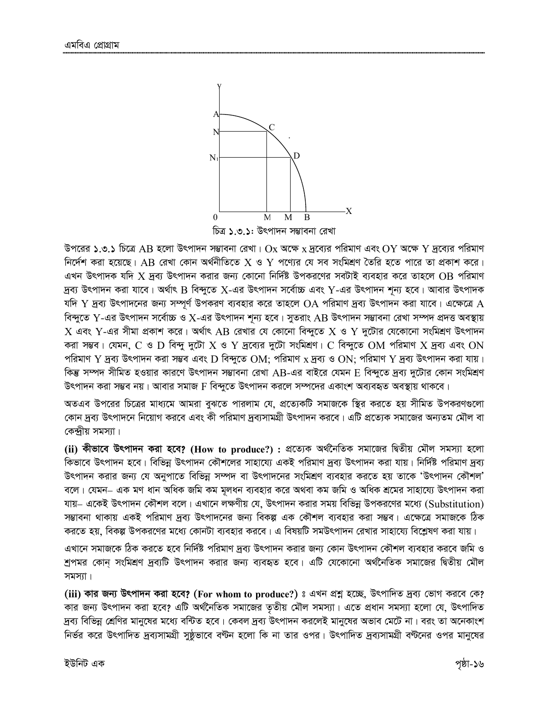

উপরের ১.৩.১ চিত্রে AB হলো উৎপাদন সম্ভাবনা রেখা।  $\rm Ox$  অক্ষে  $\rm x$  দ্রব্যের পরিমাণ এবং  $\rm OY$  অক্ষে  $\rm Y$  দ্রব্যের পরিমাণ নির্দেশ করা হয়েছে। AB রেখা কোন অর্থনীতিতে  $\rm X$  ও  $\rm Y$  পণ্যের যে সব সংমিশ্রণ তৈরি হতে পারে তা প্রকাশ করে। এখন উৎপাদক যদি  $X$  দ্রব্য উৎপাদন করার জন্য কোনো নির্দিষ্ট উপকরণের সবটাই ব্যবহার করে তাহলে OB পরিমাণ দ্রব্য উৎপাদন করা যাবে। অর্থাৎ B বিন্দুতে X-এর উৎপাদন সর্বোচ্চ এবং Y-এর উৎপাদন শূন্য হবে। আবার উৎপাদক যদি  $\rm Y$  দ্রব্য উৎপাদনের জন্য সম্পূর্ণ উপকরণ ব্যবহার করে তাহলে  $\rm OA$  পরিমাণ দ্রব্য উৎপাদন করা যাবে। এক্ষেত্রে  $\rm A$ বিন্দুতে  $Y$ -এর উৎপাদন সর্বোচ্চ ও  $X$ -এর উৎপাদন শূন্য হবে। সুতরাং AB উৎপাদন সম্ভাবনা রেখা সম্পদ প্রদত্ত অবস্থায়  $\rm X$  এবং  $\rm Y$ -এর সীমা প্রকাশ করে। অর্থাৎ AB রেখার যে কোনো বিন্দুতে  $\rm X$  ও  $\rm Y$  দুটোর যেকোনো সংমিশ্রণ উৎপাদন করা সম্ভব। যেমন,  $\rm C$  ও  $\rm D$  বিন্দু দুটো  $\rm X$  ও  $\rm Y$  দ্রব্যের দুটো সংমিশ্রণ।  $\rm C$  বিন্দুতে  $\rm OM$  পরিমাণ  $\rm X$  দ্রব্য এবং  $\rm ON$ পরিমাণ Y দ্রব্য উৎপাদন করা সম্ভব এবং D বিন্দুতে OM; পরিমাণ x দ্রব্য ও ON; পরিমাণ Y দ্রব্য উৎপাদন করা যায়। কিন্তু সম্পদ সীমিত হওয়ার কারণে উৎপাদন সম্ভাবনা রেখা AB-এর বাইরে যেমন  ${\rm E}$  বিন্দুতে দ্রব্য দুটোর কোন সংমিশ্রণ উৎপাদন করা সম্ভব নয়। আবার সমাজ F বিন্দুতে উৎপাদন করলে সম্পদের একাংশ অব্যবহৃত অবস্থায় থাকবে।

অতএব উপরের চিত্রের মাধ্যমে আমরা বুঝতে পারলাম যে, প্রত্যেকটি সমাজকে স্থির করতে হয় সীমিত উপকরণগুলো কোন দ্রব্য উৎপাদনে নিয়োগ করবে এবং কী পরিমাণ দ্রব্যসামগ্রী উৎপাদন করবে। এটি প্রত্যেক সমাজের অন্যতম মৌল বা কেন্দ্ৰীয় সমস্যা ।

(ii) কীভাবে উৎপাদন করা হবে? (How to produce?) : প্রত্যেক অর্থনৈতিক সমাজের দ্বিতীয় মৌল সমস্যা হলো কিভাবে উৎপাদন হবে। বিভিন্ন উৎপাদন কৌশলের সাহায্যে একই পরিমাণ দ্রব্য উৎপাদন করা যায়। নির্দিষ্ট পরিমাণ দ্রব্য উৎপাদন করার জন্য যে অনুপাতে বিভিন্ন সম্পদ বা উৎপাদনের সংমিশ্রণ ব্যবহার করতে হয় তাকে 'উৎপাদন কৌশল' বলে। যেমন– এক মণ ধান অধিক জমি কম মূলধন ব্যবহার করে অথবা কম জমি ও অধিক শ্রমের সাহায্যে উৎপাদন করা যায়– একেই উৎপাদন কৌশল বলে। এখানে লক্ষণীয় যে, উৎপাদন করার সময় বিভিন্ন উপকরণের মধ্যে (Substitution) সম্ভাবনা থাকায় একই পরিমাণ দ্রব্য উৎপাদনের জন্য বিকল্প এক কৌশল ব্যবহার করা সম্ভব। এক্ষেত্রে সমাজকে ঠিক করতে হয়, বিকল্প উপকরণের মধ্যে কোনটা ব্যবহার করবে। এ বিষয়টি সমউৎপাদন রেখার সাহায্যে বিশ্লেষণ করা যায়।

এখানে সমাজকে ঠিক করতে হবে নির্দিষ্ট পরিমাণ দ্রব্য উৎপাদন করার জন্য কোন উৎপাদন কৌশল ব্যবহার করবে জমি ও শ্রপমর কোন্ সংমিশ্রণ দ্রব্যটি উৎপাদন করার জন্য ব্যবহৃত হবে। এটি যেকোনো অর্থনৈতিক সমাজের দ্বিতীয় মৌল সমস্যা।

(iii) কার জন্য উৎপাদন করা হবে? (For whom to produce?) ঃ এখন প্রশ্ন হচ্ছে, উৎপাদিত দ্রব্য ভোগ করবে কে? কার জন্য উৎপাদন করা হবে? এটি অর্থনৈতিক সমাজের তৃতীয় মৌল সমস্যা। এতে প্রধান সমস্যা হলো যে, উৎপাদিত দ্রব্য বিভিন্ন শ্রেণির মানুষের মধ্যে বন্টিত হবে। কেবল দ্রব্য উৎপাদন করলেই মানুষের অভাব মেটে না। বরং তা অনেকাংশ নির্ভর করে উৎপাদিত দ্রব্যসামগ্রী সুষ্ঠূভাবে বণ্টন হলো কি না তার ওপর। উৎপাদিত দ্রব্যসামগ্রী বণ্টনের ওপর মানুষের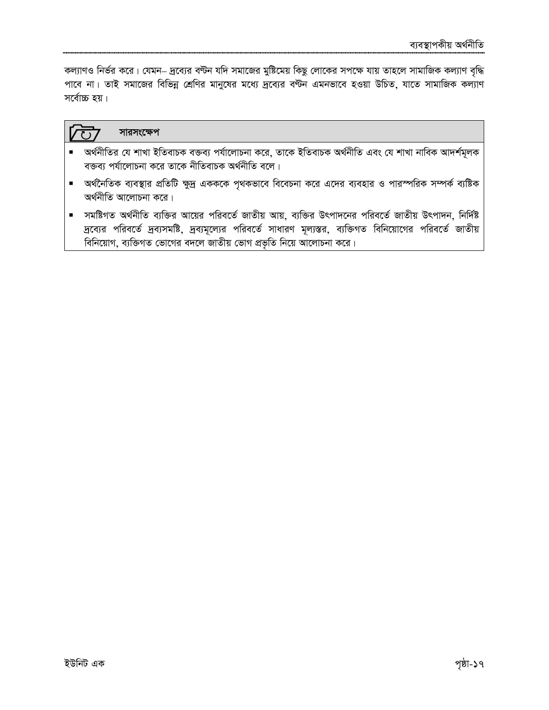কল্যাণও নির্ভর করে। যেমন– দ্রব্যের বণ্টন যদি সমাজের মুষ্টিমেয় কিছু লোকের সপক্ষে যায় তাহলে সামাজিক কল্যাণ বৃদ্ধি পাবে না। তাই সমাজের বিভিন্ন শ্রেণির মানুষের মধ্যে দ্রব্যের বন্টন এমনভাবে হওয়া উচিত, যাতে সামাজিক কল্যাণ সর্বোচ্চ হয়।

#### সারসংক্ষেপ  $\sqrt{11}$

- অর্থনীতির যে শাখা ইতিবাচক বক্তব্য পর্যালোচনা করে, তাকে ইতিবাচক অর্থনীতি এবং যে শাখা নাবিক আদর্শমূলক বক্তব্য পর্যালোচনা করে তাকে নীতিবাচক অর্থনীতি বলে।
- অর্থনৈতিক ব্যবস্থার প্রতিটি ক্ষুদ্র একককে পৃথকভাবে বিবেচনা করে এদের ব্যবহার ও পারস্পরিক সম্পর্ক ব্যষ্টিক অৰ্থনীতি আলোচনা করে।
- সমষ্টিগত অর্থনীতি ব্যক্তির আয়ের পরিবর্তে জাতীয় আয়, ব্যক্তির উৎপাদনের পরিবর্তে জাতীয় উৎপাদন, নির্দিষ্ট দ্রব্যের পরিবর্তে দ্রব্যসমষ্টি, দ্রব্যমূল্যের পরিবর্তে সাধারণ মূল্যস্তর, ব্যক্তিগত বিনিয়োগের পরিবর্তে জাতীয় বিনিয়োগ, ব্যক্তিগত ভোগের বদলে জাতীয় ভোগ প্রভৃতি নিয়ে আলোচনা করে।